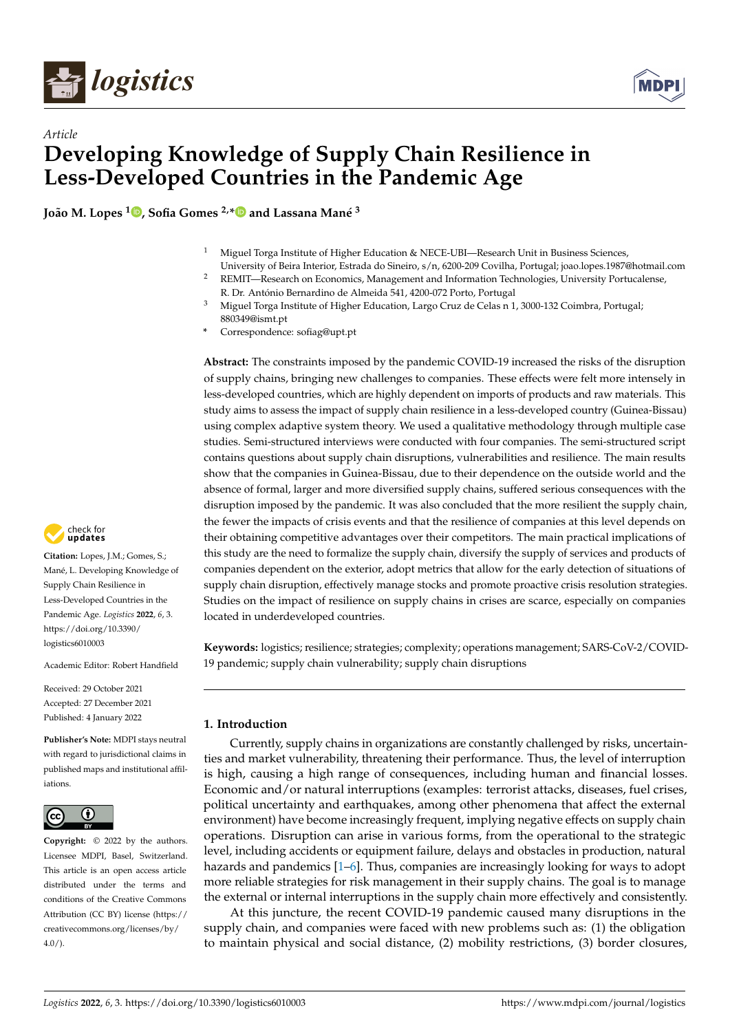

*Article*



# **Developing Knowledge of Supply Chain Resilience in Less-Developed Countries in the Pandemic Age**

**João M. Lopes <sup>1</sup> [,](https://orcid.org/0000-0002-2968-4026) Sofia Gomes 2,[\\*](https://orcid.org/0000-0002-0326-0655) and Lassana Mané 3**

- <sup>1</sup> Miguel Torga Institute of Higher Education & NECE-UBI—Research Unit in Business Sciences, University of Beira Interior, Estrada do Sineiro, s/n, 6200-209 Covilha, Portugal; joao.lopes.1987@hotmail.com
- <sup>2</sup> REMIT—Research on Economics, Management and Information Technologies, University Portucalense, R. Dr. António Bernardino de Almeida 541, 4200-072 Porto, Portugal
- <sup>3</sup> Miguel Torga Institute of Higher Education, Largo Cruz de Celas n 1, 3000-132 Coimbra, Portugal; 880349@ismt.pt
- **\*** Correspondence: sofiag@upt.pt

**Abstract:** The constraints imposed by the pandemic COVID-19 increased the risks of the disruption of supply chains, bringing new challenges to companies. These effects were felt more intensely in less-developed countries, which are highly dependent on imports of products and raw materials. This study aims to assess the impact of supply chain resilience in a less-developed country (Guinea-Bissau) using complex adaptive system theory. We used a qualitative methodology through multiple case studies. Semi-structured interviews were conducted with four companies. The semi-structured script contains questions about supply chain disruptions, vulnerabilities and resilience. The main results show that the companies in Guinea-Bissau, due to their dependence on the outside world and the absence of formal, larger and more diversified supply chains, suffered serious consequences with the disruption imposed by the pandemic. It was also concluded that the more resilient the supply chain, the fewer the impacts of crisis events and that the resilience of companies at this level depends on their obtaining competitive advantages over their competitors. The main practical implications of this study are the need to formalize the supply chain, diversify the supply of services and products of companies dependent on the exterior, adopt metrics that allow for the early detection of situations of supply chain disruption, effectively manage stocks and promote proactive crisis resolution strategies. Studies on the impact of resilience on supply chains in crises are scarce, especially on companies located in underdeveloped countries.

**Keywords:** logistics; resilience; strategies; complexity; operations management; SARS-CoV-2/COVID-19 pandemic; supply chain vulnerability; supply chain disruptions

## **1. Introduction**

Currently, supply chains in organizations are constantly challenged by risks, uncertainties and market vulnerability, threatening their performance. Thus, the level of interruption is high, causing a high range of consequences, including human and financial losses. Economic and/or natural interruptions (examples: terrorist attacks, diseases, fuel crises, political uncertainty and earthquakes, among other phenomena that affect the external environment) have become increasingly frequent, implying negative effects on supply chain operations. Disruption can arise in various forms, from the operational to the strategic level, including accidents or equipment failure, delays and obstacles in production, natural hazards and pandemics [\[1–](#page-14-0)[6\]](#page-15-0). Thus, companies are increasingly looking for ways to adopt more reliable strategies for risk management in their supply chains. The goal is to manage the external or internal interruptions in the supply chain more effectively and consistently.

At this juncture, the recent COVID-19 pandemic caused many disruptions in the supply chain, and companies were faced with new problems such as: (1) the obligation to maintain physical and social distance, (2) mobility restrictions, (3) border closures,



**Citation:** Lopes, J.M.; Gomes, S.; Mané, L. Developing Knowledge of Supply Chain Resilience in Less-Developed Countries in the Pandemic Age. *Logistics* **2022**, *6*, 3. [https://doi.org/10.3390/](https://doi.org/10.3390/logistics6010003) [logistics6010003](https://doi.org/10.3390/logistics6010003)

Academic Editor: Robert Handfield

Received: 29 October 2021 Accepted: 27 December 2021 Published: 4 January 2022

**Publisher's Note:** MDPI stays neutral with regard to jurisdictional claims in published maps and institutional affiliations.



**Copyright:** © 2022 by the authors. Licensee MDPI, Basel, Switzerland. This article is an open access article distributed under the terms and conditions of the Creative Commons Attribution (CC BY) license [\(https://](https://creativecommons.org/licenses/by/4.0/) [creativecommons.org/licenses/by/](https://creativecommons.org/licenses/by/4.0/)  $4.0/$ ).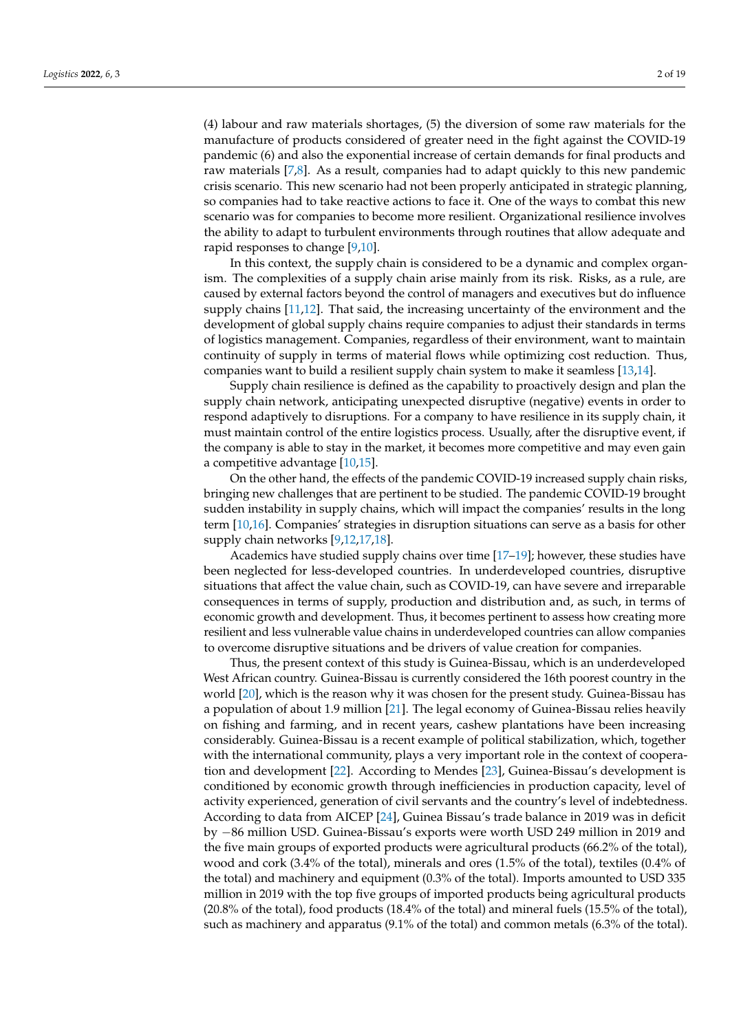(4) labour and raw materials shortages, (5) the diversion of some raw materials for the manufacture of products considered of greater need in the fight against the COVID-19 pandemic (6) and also the exponential increase of certain demands for final products and raw materials [\[7](#page-15-1)[,8\]](#page-15-2). As a result, companies had to adapt quickly to this new pandemic crisis scenario. This new scenario had not been properly anticipated in strategic planning, so companies had to take reactive actions to face it. One of the ways to combat this new scenario was for companies to become more resilient. Organizational resilience involves the ability to adapt to turbulent environments through routines that allow adequate and rapid responses to change [\[9,](#page-15-3)[10\]](#page-15-4).

In this context, the supply chain is considered to be a dynamic and complex organism. The complexities of a supply chain arise mainly from its risk. Risks, as a rule, are caused by external factors beyond the control of managers and executives but do influence supply chains [\[11](#page-15-5)[,12\]](#page-15-6). That said, the increasing uncertainty of the environment and the development of global supply chains require companies to adjust their standards in terms of logistics management. Companies, regardless of their environment, want to maintain continuity of supply in terms of material flows while optimizing cost reduction. Thus, companies want to build a resilient supply chain system to make it seamless [\[13,](#page-15-7)[14\]](#page-15-8).

Supply chain resilience is defined as the capability to proactively design and plan the supply chain network, anticipating unexpected disruptive (negative) events in order to respond adaptively to disruptions. For a company to have resilience in its supply chain, it must maintain control of the entire logistics process. Usually, after the disruptive event, if the company is able to stay in the market, it becomes more competitive and may even gain a competitive advantage [\[10](#page-15-4)[,15\]](#page-15-9).

On the other hand, the effects of the pandemic COVID-19 increased supply chain risks, bringing new challenges that are pertinent to be studied. The pandemic COVID-19 brought sudden instability in supply chains, which will impact the companies' results in the long term [\[10](#page-15-4)[,16\]](#page-15-10). Companies' strategies in disruption situations can serve as a basis for other supply chain networks [\[9](#page-15-3)[,12](#page-15-6)[,17](#page-15-11)[,18\]](#page-15-12).

Academics have studied supply chains over time [\[17](#page-15-11)[–19\]](#page-15-13); however, these studies have been neglected for less-developed countries. In underdeveloped countries, disruptive situations that affect the value chain, such as COVID-19, can have severe and irreparable consequences in terms of supply, production and distribution and, as such, in terms of economic growth and development. Thus, it becomes pertinent to assess how creating more resilient and less vulnerable value chains in underdeveloped countries can allow companies to overcome disruptive situations and be drivers of value creation for companies.

Thus, the present context of this study is Guinea-Bissau, which is an underdeveloped West African country. Guinea-Bissau is currently considered the 16th poorest country in the world [\[20\]](#page-15-14), which is the reason why it was chosen for the present study. Guinea-Bissau has a population of about 1.9 million [\[21\]](#page-15-15). The legal economy of Guinea-Bissau relies heavily on fishing and farming, and in recent years, cashew plantations have been increasing considerably. Guinea-Bissau is a recent example of political stabilization, which, together with the international community, plays a very important role in the context of cooperation and development [\[22\]](#page-15-16). According to Mendes [\[23\]](#page-15-17), Guinea-Bissau's development is conditioned by economic growth through inefficiencies in production capacity, level of activity experienced, generation of civil servants and the country's level of indebtedness. According to data from AICEP [\[24\]](#page-15-18), Guinea Bissau's trade balance in 2019 was in deficit by −86 million USD. Guinea-Bissau's exports were worth USD 249 million in 2019 and the five main groups of exported products were agricultural products (66.2% of the total), wood and cork (3.4% of the total), minerals and ores (1.5% of the total), textiles (0.4% of the total) and machinery and equipment (0.3% of the total). Imports amounted to USD 335 million in 2019 with the top five groups of imported products being agricultural products (20.8% of the total), food products (18.4% of the total) and mineral fuels (15.5% of the total), such as machinery and apparatus (9.1% of the total) and common metals (6.3% of the total).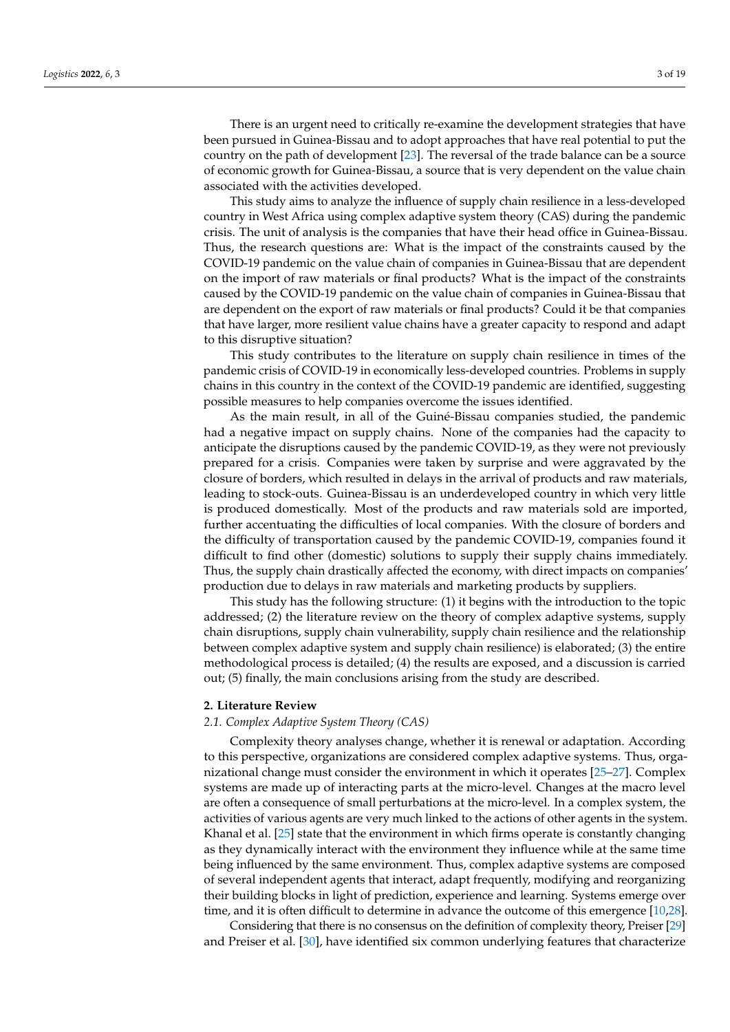There is an urgent need to critically re-examine the development strategies that have been pursued in Guinea-Bissau and to adopt approaches that have real potential to put the country on the path of development [\[23\]](#page-15-17). The reversal of the trade balance can be a source of economic growth for Guinea-Bissau, a source that is very dependent on the value chain associated with the activities developed.

This study aims to analyze the influence of supply chain resilience in a less-developed country in West Africa using complex adaptive system theory (CAS) during the pandemic crisis. The unit of analysis is the companies that have their head office in Guinea-Bissau. Thus, the research questions are: What is the impact of the constraints caused by the COVID-19 pandemic on the value chain of companies in Guinea-Bissau that are dependent on the import of raw materials or final products? What is the impact of the constraints caused by the COVID-19 pandemic on the value chain of companies in Guinea-Bissau that are dependent on the export of raw materials or final products? Could it be that companies that have larger, more resilient value chains have a greater capacity to respond and adapt to this disruptive situation?

This study contributes to the literature on supply chain resilience in times of the pandemic crisis of COVID-19 in economically less-developed countries. Problems in supply chains in this country in the context of the COVID-19 pandemic are identified, suggesting possible measures to help companies overcome the issues identified.

As the main result, in all of the Guiné-Bissau companies studied, the pandemic had a negative impact on supply chains. None of the companies had the capacity to anticipate the disruptions caused by the pandemic COVID-19, as they were not previously prepared for a crisis. Companies were taken by surprise and were aggravated by the closure of borders, which resulted in delays in the arrival of products and raw materials, leading to stock-outs. Guinea-Bissau is an underdeveloped country in which very little is produced domestically. Most of the products and raw materials sold are imported, further accentuating the difficulties of local companies. With the closure of borders and the difficulty of transportation caused by the pandemic COVID-19, companies found it difficult to find other (domestic) solutions to supply their supply chains immediately. Thus, the supply chain drastically affected the economy, with direct impacts on companies' production due to delays in raw materials and marketing products by suppliers.

This study has the following structure: (1) it begins with the introduction to the topic addressed; (2) the literature review on the theory of complex adaptive systems, supply chain disruptions, supply chain vulnerability, supply chain resilience and the relationship between complex adaptive system and supply chain resilience) is elaborated; (3) the entire methodological process is detailed; (4) the results are exposed, and a discussion is carried out; (5) finally, the main conclusions arising from the study are described.

## <span id="page-2-0"></span>**2. Literature Review**

#### *2.1. Complex Adaptive System Theory (CAS)*

Complexity theory analyses change, whether it is renewal or adaptation. According to this perspective, organizations are considered complex adaptive systems. Thus, organizational change must consider the environment in which it operates [\[25–](#page-15-19)[27\]](#page-15-20). Complex systems are made up of interacting parts at the micro-level. Changes at the macro level are often a consequence of small perturbations at the micro-level. In a complex system, the activities of various agents are very much linked to the actions of other agents in the system. Khanal et al. [\[25\]](#page-15-19) state that the environment in which firms operate is constantly changing as they dynamically interact with the environment they influence while at the same time being influenced by the same environment. Thus, complex adaptive systems are composed of several independent agents that interact, adapt frequently, modifying and reorganizing their building blocks in light of prediction, experience and learning. Systems emerge over time, and it is often difficult to determine in advance the outcome of this emergence [\[10](#page-15-4)[,28\]](#page-15-21).

Considering that there is no consensus on the definition of complexity theory, Preiser [\[29\]](#page-15-22) and Preiser et al. [\[30\]](#page-15-23), have identified six common underlying features that characterize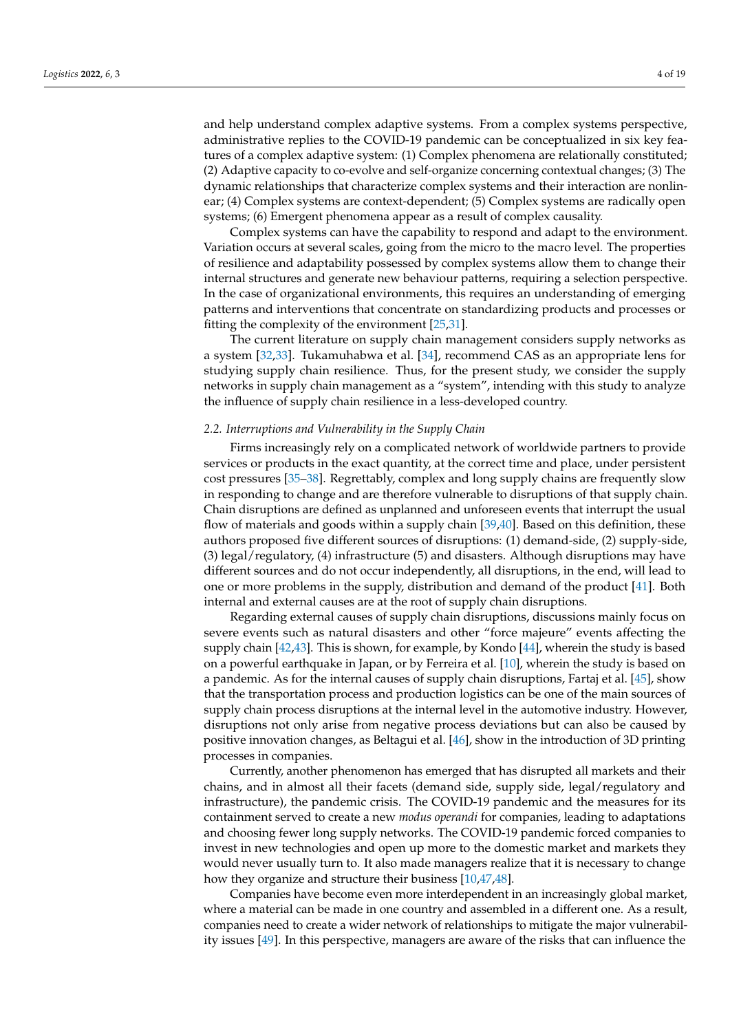and help understand complex adaptive systems. From a complex systems perspective, administrative replies to the COVID-19 pandemic can be conceptualized in six key features of a complex adaptive system: (1) Complex phenomena are relationally constituted; (2) Adaptive capacity to co-evolve and self-organize concerning contextual changes; (3) The dynamic relationships that characterize complex systems and their interaction are nonlinear; (4) Complex systems are context-dependent; (5) Complex systems are radically open systems; (6) Emergent phenomena appear as a result of complex causality.

Complex systems can have the capability to respond and adapt to the environment. Variation occurs at several scales, going from the micro to the macro level. The properties of resilience and adaptability possessed by complex systems allow them to change their internal structures and generate new behaviour patterns, requiring a selection perspective. In the case of organizational environments, this requires an understanding of emerging patterns and interventions that concentrate on standardizing products and processes or fitting the complexity of the environment [\[25,](#page-15-19)[31\]](#page-15-24).

The current literature on supply chain management considers supply networks as a system [\[32](#page-15-25)[,33\]](#page-15-26). Tukamuhabwa et al. [\[34\]](#page-15-27), recommend CAS as an appropriate lens for studying supply chain resilience. Thus, for the present study, we consider the supply networks in supply chain management as a "system", intending with this study to analyze the influence of supply chain resilience in a less-developed country.

#### *2.2. Interruptions and Vulnerability in the Supply Chain*

Firms increasingly rely on a complicated network of worldwide partners to provide services or products in the exact quantity, at the correct time and place, under persistent cost pressures [\[35](#page-15-28)[–38\]](#page-16-0). Regrettably, complex and long supply chains are frequently slow in responding to change and are therefore vulnerable to disruptions of that supply chain. Chain disruptions are defined as unplanned and unforeseen events that interrupt the usual flow of materials and goods within a supply chain [\[39,](#page-16-1)[40\]](#page-16-2). Based on this definition, these authors proposed five different sources of disruptions: (1) demand-side, (2) supply-side, (3) legal/regulatory, (4) infrastructure (5) and disasters. Although disruptions may have different sources and do not occur independently, all disruptions, in the end, will lead to one or more problems in the supply, distribution and demand of the product [\[41\]](#page-16-3). Both internal and external causes are at the root of supply chain disruptions.

Regarding external causes of supply chain disruptions, discussions mainly focus on severe events such as natural disasters and other "force majeure" events affecting the supply chain [\[42,](#page-16-4)[43\]](#page-16-5). This is shown, for example, by Kondo [\[44\]](#page-16-6), wherein the study is based on a powerful earthquake in Japan, or by Ferreira et al. [\[10\]](#page-15-4), wherein the study is based on a pandemic. As for the internal causes of supply chain disruptions, Fartaj et al. [\[45\]](#page-16-7), show that the transportation process and production logistics can be one of the main sources of supply chain process disruptions at the internal level in the automotive industry. However, disruptions not only arise from negative process deviations but can also be caused by positive innovation changes, as Beltagui et al. [\[46\]](#page-16-8), show in the introduction of 3D printing processes in companies.

Currently, another phenomenon has emerged that has disrupted all markets and their chains, and in almost all their facets (demand side, supply side, legal/regulatory and infrastructure), the pandemic crisis. The COVID-19 pandemic and the measures for its containment served to create a new *modus operandi* for companies, leading to adaptations and choosing fewer long supply networks. The COVID-19 pandemic forced companies to invest in new technologies and open up more to the domestic market and markets they would never usually turn to. It also made managers realize that it is necessary to change how they organize and structure their business [\[10](#page-15-4)[,47](#page-16-9)[,48\]](#page-16-10).

Companies have become even more interdependent in an increasingly global market, where a material can be made in one country and assembled in a different one. As a result, companies need to create a wider network of relationships to mitigate the major vulnerability issues [\[49\]](#page-16-11). In this perspective, managers are aware of the risks that can influence the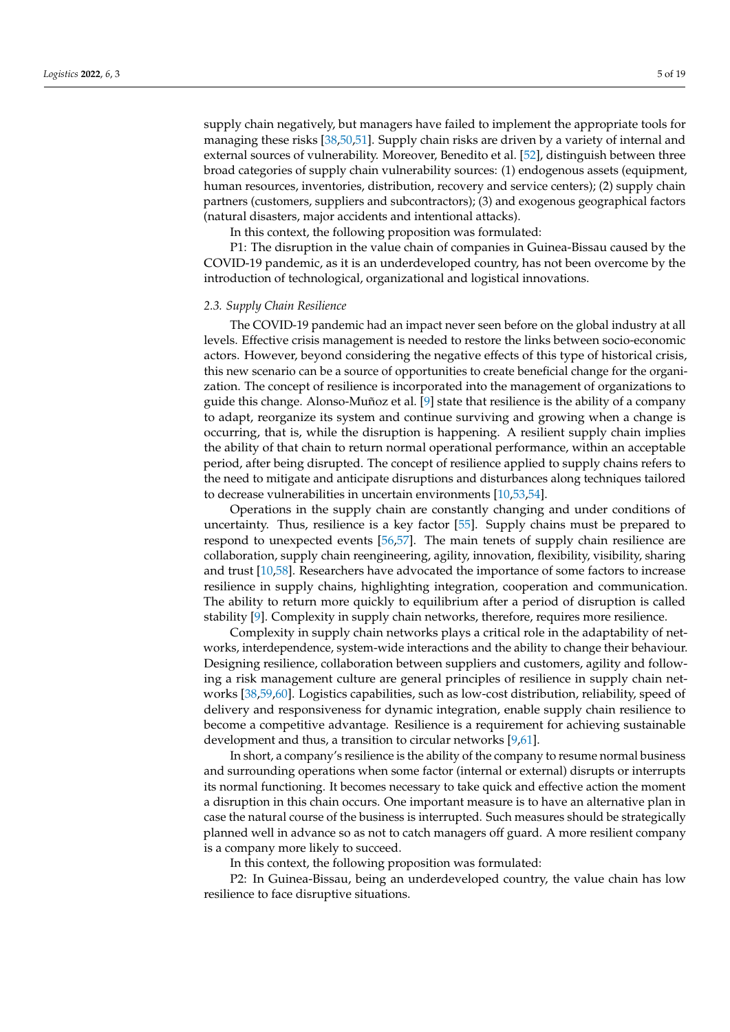supply chain negatively, but managers have failed to implement the appropriate tools for managing these risks [\[38](#page-16-0)[,50](#page-16-12)[,51\]](#page-16-13). Supply chain risks are driven by a variety of internal and external sources of vulnerability. Moreover, Benedito et al. [\[52\]](#page-16-14), distinguish between three broad categories of supply chain vulnerability sources: (1) endogenous assets (equipment, human resources, inventories, distribution, recovery and service centers); (2) supply chain partners (customers, suppliers and subcontractors); (3) and exogenous geographical factors (natural disasters, major accidents and intentional attacks).

In this context, the following proposition was formulated:

P1: The disruption in the value chain of companies in Guinea-Bissau caused by the COVID-19 pandemic, as it is an underdeveloped country, has not been overcome by the introduction of technological, organizational and logistical innovations.

#### *2.3. Supply Chain Resilience*

The COVID-19 pandemic had an impact never seen before on the global industry at all levels. Effective crisis management is needed to restore the links between socio-economic actors. However, beyond considering the negative effects of this type of historical crisis, this new scenario can be a source of opportunities to create beneficial change for the organization. The concept of resilience is incorporated into the management of organizations to guide this change. Alonso-Muñoz et al. [\[9\]](#page-15-3) state that resilience is the ability of a company to adapt, reorganize its system and continue surviving and growing when a change is occurring, that is, while the disruption is happening. A resilient supply chain implies the ability of that chain to return normal operational performance, within an acceptable period, after being disrupted. The concept of resilience applied to supply chains refers to the need to mitigate and anticipate disruptions and disturbances along techniques tailored to decrease vulnerabilities in uncertain environments [\[10](#page-15-4)[,53](#page-16-15)[,54\]](#page-16-16).

Operations in the supply chain are constantly changing and under conditions of uncertainty. Thus, resilience is a key factor [\[55\]](#page-16-17). Supply chains must be prepared to respond to unexpected events [\[56](#page-16-18)[,57\]](#page-16-19). The main tenets of supply chain resilience are collaboration, supply chain reengineering, agility, innovation, flexibility, visibility, sharing and trust [\[10,](#page-15-4)[58\]](#page-16-20). Researchers have advocated the importance of some factors to increase resilience in supply chains, highlighting integration, cooperation and communication. The ability to return more quickly to equilibrium after a period of disruption is called stability [\[9\]](#page-15-3). Complexity in supply chain networks, therefore, requires more resilience.

Complexity in supply chain networks plays a critical role in the adaptability of networks, interdependence, system-wide interactions and the ability to change their behaviour. Designing resilience, collaboration between suppliers and customers, agility and following a risk management culture are general principles of resilience in supply chain networks [\[38,](#page-16-0)[59,](#page-16-21)[60\]](#page-16-22). Logistics capabilities, such as low-cost distribution, reliability, speed of delivery and responsiveness for dynamic integration, enable supply chain resilience to become a competitive advantage. Resilience is a requirement for achieving sustainable development and thus, a transition to circular networks [\[9,](#page-15-3)[61\]](#page-16-23).

In short, a company's resilience is the ability of the company to resume normal business and surrounding operations when some factor (internal or external) disrupts or interrupts its normal functioning. It becomes necessary to take quick and effective action the moment a disruption in this chain occurs. One important measure is to have an alternative plan in case the natural course of the business is interrupted. Such measures should be strategically planned well in advance so as not to catch managers off guard. A more resilient company is a company more likely to succeed.

In this context, the following proposition was formulated:

P2: In Guinea-Bissau, being an underdeveloped country, the value chain has low resilience to face disruptive situations.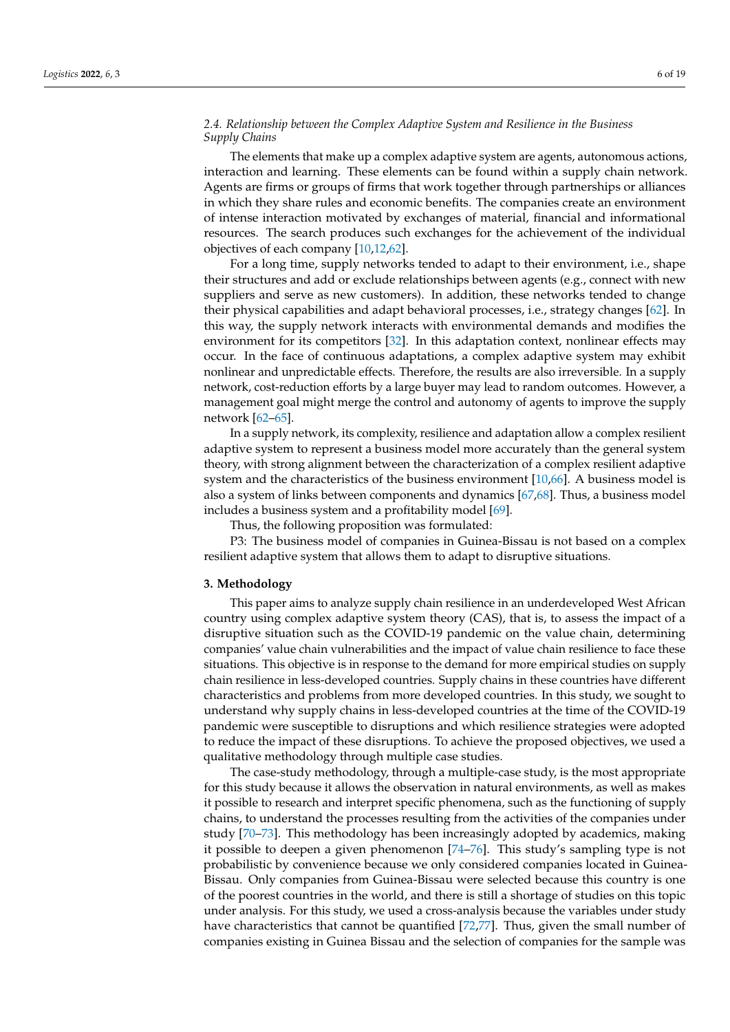## *2.4. Relationship between the Complex Adaptive System and Resilience in the Business Supply Chains*

The elements that make up a complex adaptive system are agents, autonomous actions, interaction and learning. These elements can be found within a supply chain network. Agents are firms or groups of firms that work together through partnerships or alliances in which they share rules and economic benefits. The companies create an environment of intense interaction motivated by exchanges of material, financial and informational resources. The search produces such exchanges for the achievement of the individual objectives of each company [\[10,](#page-15-4)[12,](#page-15-6)[62\]](#page-16-24).

For a long time, supply networks tended to adapt to their environment, i.e., shape their structures and add or exclude relationships between agents (e.g., connect with new suppliers and serve as new customers). In addition, these networks tended to change their physical capabilities and adapt behavioral processes, i.e., strategy changes [\[62\]](#page-16-24). In this way, the supply network interacts with environmental demands and modifies the environment for its competitors [\[32\]](#page-15-25). In this adaptation context, nonlinear effects may occur. In the face of continuous adaptations, a complex adaptive system may exhibit nonlinear and unpredictable effects. Therefore, the results are also irreversible. In a supply network, cost-reduction efforts by a large buyer may lead to random outcomes. However, a management goal might merge the control and autonomy of agents to improve the supply network [\[62](#page-16-24)[–65\]](#page-17-0).

In a supply network, its complexity, resilience and adaptation allow a complex resilient adaptive system to represent a business model more accurately than the general system theory, with strong alignment between the characterization of a complex resilient adaptive system and the characteristics of the business environment [\[10](#page-15-4)[,66\]](#page-17-1). A business model is also a system of links between components and dynamics [\[67,](#page-17-2)[68\]](#page-17-3). Thus, a business model includes a business system and a profitability model [\[69\]](#page-17-4).

Thus, the following proposition was formulated:

P3: The business model of companies in Guinea-Bissau is not based on a complex resilient adaptive system that allows them to adapt to disruptive situations.

## <span id="page-5-0"></span>**3. Methodology**

This paper aims to analyze supply chain resilience in an underdeveloped West African country using complex adaptive system theory (CAS), that is, to assess the impact of a disruptive situation such as the COVID-19 pandemic on the value chain, determining companies' value chain vulnerabilities and the impact of value chain resilience to face these situations. This objective is in response to the demand for more empirical studies on supply chain resilience in less-developed countries. Supply chains in these countries have different characteristics and problems from more developed countries. In this study, we sought to understand why supply chains in less-developed countries at the time of the COVID-19 pandemic were susceptible to disruptions and which resilience strategies were adopted to reduce the impact of these disruptions. To achieve the proposed objectives, we used a qualitative methodology through multiple case studies.

The case-study methodology, through a multiple-case study, is the most appropriate for this study because it allows the observation in natural environments, as well as makes it possible to research and interpret specific phenomena, such as the functioning of supply chains, to understand the processes resulting from the activities of the companies under study [\[70](#page-17-5)[–73\]](#page-17-6). This methodology has been increasingly adopted by academics, making it possible to deepen a given phenomenon [\[74–](#page-17-7)[76\]](#page-17-8). This study's sampling type is not probabilistic by convenience because we only considered companies located in Guinea-Bissau. Only companies from Guinea-Bissau were selected because this country is one of the poorest countries in the world, and there is still a shortage of studies on this topic under analysis. For this study, we used a cross-analysis because the variables under study have characteristics that cannot be quantified [\[72](#page-17-9)[,77\]](#page-17-10). Thus, given the small number of companies existing in Guinea Bissau and the selection of companies for the sample was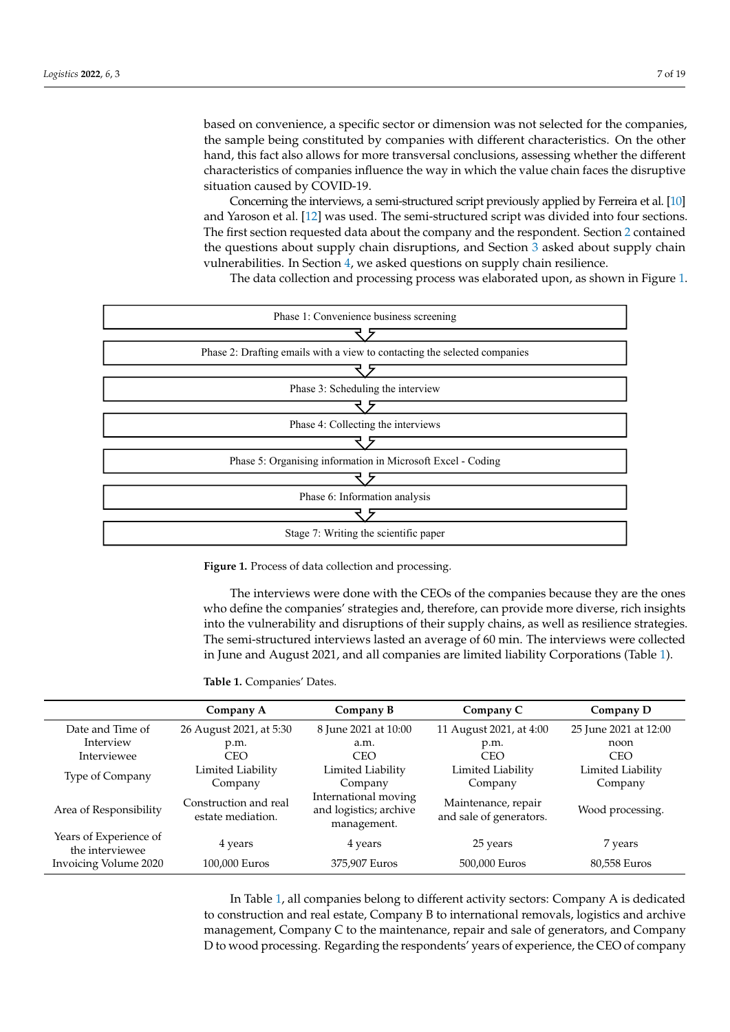based on convenience, a specific sector or dimension was not selected for the companies, the sample being constituted by companies with different characteristics. On the other hand, this fact also allows for more transversal conclusions, assessing whether the different characteristics of companies influence the way in which the value chain faces the disruptive situation caused by COVID-19.

Concerning the interviews, a semi-structured script previously applied by Ferreira et al. [\[10\]](#page-15-4) and Yaroson et al.  $[12]$  was used. The semi-structured script was divided into four sections. The first section requested data about the company and the respondent. Section 2 contained  $\overline{\phantom{a}}$ the questions about supply chain disruptions, and Section [3](#page-5-0) asked about supply chain vulnerabilities. In Section [4,](#page-7-0) we asked questions on supply chain resilience.

<span id="page-6-0"></span>The data collection and processing process was elaborated upon, as shown in Figure [1.](#page-6-0)



**Figure 1.** Process of data collection and processing. **Figure 1.** Process of data collection and processing.

The interviews were done with the CEOs of the companies because they are the ones The interviews were done with the CEOs of the companies because they are the ones who define the companies' strategies and, therefore, can provide more diverse, rich insights into the vulnerability and disruptions of their supply chains, as well as resilience strategies. The semi-structured interviews lasted an average of 60 min. The interviews were collected in June and August 2021, and all companies are limited liability Cor[po](#page-6-1)rations (Table 1).

<span id="page-6-1"></span>tions (Table 1). **Table 1.** Companies' Dates.

|                                           | Company A                                                                                                   | Company B            | Company C                                      | Company D             |  |
|-------------------------------------------|-------------------------------------------------------------------------------------------------------------|----------------------|------------------------------------------------|-----------------------|--|
| Date and Time of                          | 26 August 2021, at 5:30                                                                                     | 8 June 2021 at 10:00 | 11 August 2021, at 4:00                        | 25 June 2021 at 12:00 |  |
| Interview                                 | p.m.                                                                                                        | a.m.                 | p.m.                                           | noon                  |  |
| Interviewee                               | <b>CEO</b>                                                                                                  | <b>CEO</b>           | <b>CEO</b>                                     | <b>CEO</b>            |  |
| Type of Company                           | Limited Liability                                                                                           | Limited Liability    | Limited Liability                              | Limited Liability     |  |
|                                           | Company                                                                                                     | Company              | Company                                        | Company               |  |
| Area of Responsibility                    | International moving<br>Construction and real<br>and logistics; archive<br>estate mediation.<br>management. |                      | Maintenance, repair<br>and sale of generators. | Wood processing.      |  |
| Years of Experience of<br>the interviewee | 4 years<br>4 years                                                                                          |                      | 25 years                                       | 7 years               |  |
| Invoicing Volume 2020                     | 100,000 Euros                                                                                               | 375,907 Euros        | 500,000 Euros                                  | 80,558 Euros          |  |

In Table [1,](#page-6-1) all companies belong to different activity sectors: Company A is dedicated to construction and real estate, Company B to international removals, logistics and archive management, Company C to the maintenance, repair and sale of generators, and Company D to wood processing. Regarding the respondents' years of experience, the CEO of company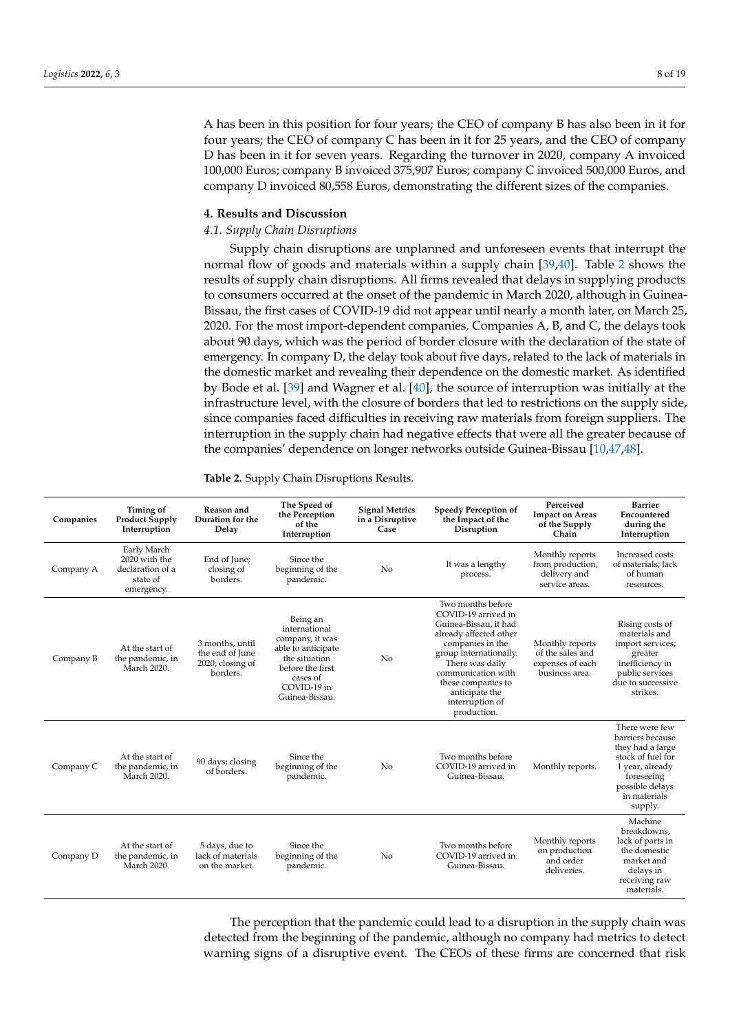A has been in this position for four years; the CEO of company B has also been in it for four years; the CEO of company C has been in it for 25 years, and the CEO of company D has been in it for seven years. Regarding the turnover in 2020, company A invoiced 100,000 Euros; company B invoiced 375,907 Euros; company C invoiced 500,000 Euros, and company D invoiced 80,558 Euros, demonstrating the different sizes of the companies.

## <span id="page-7-0"></span>**4. Results and Discussion**

## *4.1. Supply Chain Disruptions*

Supply chain disruptions are unplanned and unforeseen events that interrupt the normal flow of goods and materials within a supply chain [\[39,](#page-16-1)[40\]](#page-16-2). Table [2](#page-7-1) shows the results of supply chain disruptions. All firms revealed that delays in supplying products to consumers occurred at the onset of the pandemic in March 2020, although in Guinea-Bissau, the first cases of COVID-19 did not appear until nearly a month later, on March 25, 2020. For the most import-dependent companies, Companies A, B, and C, the delays took about 90 days, which was the period of border closure with the declaration of the state of emergency. In company D, the delay took about five days, related to the lack of materials in the domestic market and revealing their dependence on the domestic market. As identified by Bode et al. [\[39\]](#page-16-1) and Wagner et al. [\[40\]](#page-16-2), the source of interruption was initially at the infrastructure level, with the closure of borders that led to restrictions on the supply side, since companies faced difficulties in receiving raw materials from foreign suppliers. The interruption in the supply chain had negative effects that were all the greater because of the companies' dependence on longer networks outside Guinea-Bissau [\[10,](#page-15-4)[47,](#page-16-9)[48\]](#page-16-10).

| Companies | Timing of<br><b>Product Supply</b><br>Interruption                         | Reason and<br>Duration for the<br>Delay                               | The Speed of<br>the Perception<br>of the<br>Interruption                                                                                             | <b>Signal Metrics</b><br>in a Disruptive<br>Case | <b>Speedy Perception of</b><br>the Impact of the<br>Disruption                                                                                                                                                                                               |                                                                           | <b>Barrier</b><br>Encountered<br>during the<br>Interruption                                                                                                |
|-----------|----------------------------------------------------------------------------|-----------------------------------------------------------------------|------------------------------------------------------------------------------------------------------------------------------------------------------|--------------------------------------------------|--------------------------------------------------------------------------------------------------------------------------------------------------------------------------------------------------------------------------------------------------------------|---------------------------------------------------------------------------|------------------------------------------------------------------------------------------------------------------------------------------------------------|
| Company A | Early March<br>2020 with the<br>declaration of a<br>state of<br>emergency. | End of June;<br>closing of<br>borders.                                | Since the<br>beginning of the<br>pandemic.                                                                                                           | No                                               | It was a lengthy<br>process.                                                                                                                                                                                                                                 | Monthly reports<br>from production,<br>delivery and<br>service areas.     | Increased costs<br>of materials; lack<br>of human<br>resources.                                                                                            |
| Company B | At the start of<br>the pandemic, in<br>March 2020.                         | 3 months, until<br>the end of June<br>$2020$ ; closing of<br>borders. | Being an<br>international<br>company, it was<br>able to anticipate<br>the situation<br>before the first<br>cases of<br>COVID-19 in<br>Guinea-Bissau. | N <sub>0</sub>                                   | Two months before<br>COVID-19 arrived in<br>Guinea-Bissau, it had<br>already affected other<br>companies in the<br>group internationally.<br>There was daily<br>communication with<br>these companies to<br>anticipate the<br>interruption of<br>production. | Monthly reports<br>of the sales and<br>expenses of each<br>business area. | Rising costs of<br>materials and<br>import services;<br>greater<br>inefficiency in<br>public services<br>due to successive<br>strikes.                     |
| Company C | At the start of<br>the pandemic, in<br>March 2020.                         | 90 days; closing<br>of borders.                                       | Since the<br>beginning of the<br>pandemic.                                                                                                           | No                                               | Two months before<br>COVID-19 arrived in<br>Guinea-Bissau.                                                                                                                                                                                                   | Monthly reports.                                                          | There were few<br>barriers because<br>they had a large<br>stock of fuel for<br>1 year, already<br>foreseeing<br>possible delays<br>in materials<br>supply. |
| Company D | At the start of<br>the pandemic, in<br>March 2020.                         | 5 days, due to<br>lack of materials<br>on the market.                 | Since the<br>beginning of the<br>pandemic.                                                                                                           | N <sub>0</sub>                                   | Two months before<br>COVID-19 arrived in<br>Guinea-Bissau.                                                                                                                                                                                                   | Monthly reports<br>on production<br>and order<br>deliveries.              | Machine<br>breakdowns.<br>lack of parts in<br>the domestic<br>market and<br>delays in<br>receiving raw<br>materials.                                       |

<span id="page-7-1"></span>**Table 2.** Supply Chain Disruptions Results.

The perception that the pandemic could lead to a disruption in the supply chain was detected from the beginning of the pandemic, although no company had metrics to detect warning signs of a disruptive event. The CEOs of these firms are concerned that risk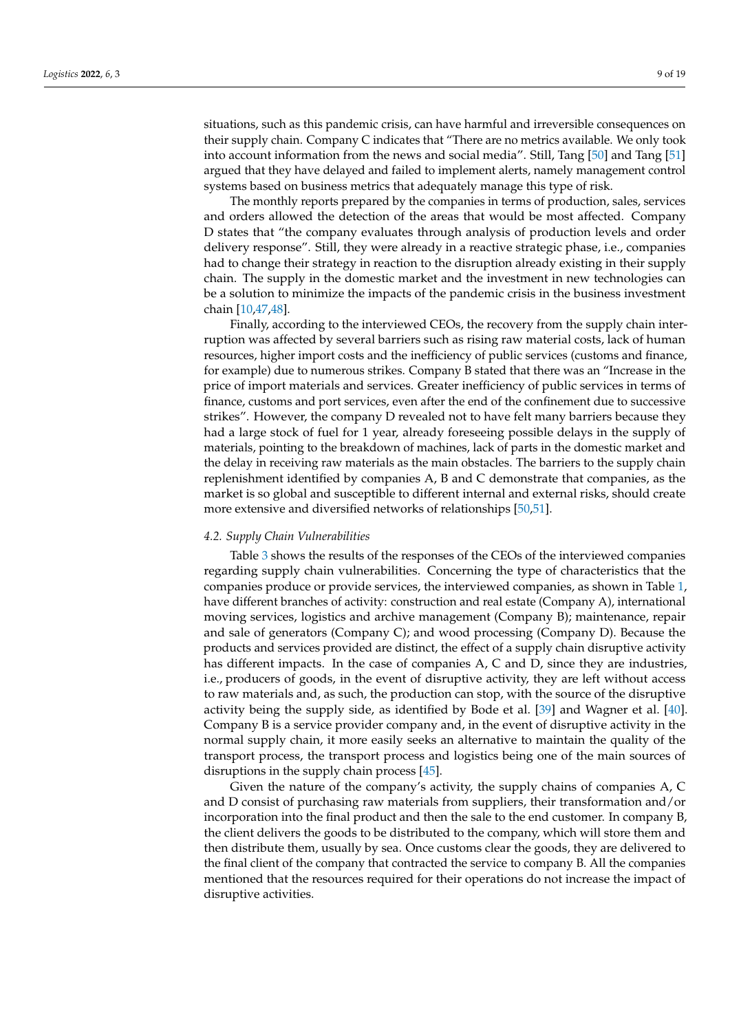situations, such as this pandemic crisis, can have harmful and irreversible consequences on their supply chain. Company C indicates that "There are no metrics available. We only took into account information from the news and social media". Still, Tang [\[50\]](#page-16-12) and Tang [\[51\]](#page-16-13) argued that they have delayed and failed to implement alerts, namely management control systems based on business metrics that adequately manage this type of risk.

The monthly reports prepared by the companies in terms of production, sales, services and orders allowed the detection of the areas that would be most affected. Company D states that "the company evaluates through analysis of production levels and order delivery response". Still, they were already in a reactive strategic phase, i.e., companies had to change their strategy in reaction to the disruption already existing in their supply chain. The supply in the domestic market and the investment in new technologies can be a solution to minimize the impacts of the pandemic crisis in the business investment chain [\[10,](#page-15-4)[47,](#page-16-9)[48\]](#page-16-10).

Finally, according to the interviewed CEOs, the recovery from the supply chain interruption was affected by several barriers such as rising raw material costs, lack of human resources, higher import costs and the inefficiency of public services (customs and finance, for example) due to numerous strikes. Company B stated that there was an "Increase in the price of import materials and services. Greater inefficiency of public services in terms of finance, customs and port services, even after the end of the confinement due to successive strikes". However, the company D revealed not to have felt many barriers because they had a large stock of fuel for 1 year, already foreseeing possible delays in the supply of materials, pointing to the breakdown of machines, lack of parts in the domestic market and the delay in receiving raw materials as the main obstacles. The barriers to the supply chain replenishment identified by companies A, B and C demonstrate that companies, as the market is so global and susceptible to different internal and external risks, should create more extensive and diversified networks of relationships [\[50](#page-16-12)[,51\]](#page-16-13).

## *4.2. Supply Chain Vulnerabilities*

Table [3](#page-9-0) shows the results of the responses of the CEOs of the interviewed companies regarding supply chain vulnerabilities. Concerning the type of characteristics that the companies produce or provide services, the interviewed companies, as shown in Table [1,](#page-6-1) have different branches of activity: construction and real estate (Company A), international moving services, logistics and archive management (Company B); maintenance, repair and sale of generators (Company C); and wood processing (Company D). Because the products and services provided are distinct, the effect of a supply chain disruptive activity has different impacts. In the case of companies A, C and D, since they are industries, i.e., producers of goods, in the event of disruptive activity, they are left without access to raw materials and, as such, the production can stop, with the source of the disruptive activity being the supply side, as identified by Bode et al. [\[39\]](#page-16-1) and Wagner et al. [\[40\]](#page-16-2). Company B is a service provider company and, in the event of disruptive activity in the normal supply chain, it more easily seeks an alternative to maintain the quality of the transport process, the transport process and logistics being one of the main sources of disruptions in the supply chain process [\[45\]](#page-16-7).

Given the nature of the company's activity, the supply chains of companies A, C and D consist of purchasing raw materials from suppliers, their transformation and/or incorporation into the final product and then the sale to the end customer. In company B, the client delivers the goods to be distributed to the company, which will store them and then distribute them, usually by sea. Once customs clear the goods, they are delivered to the final client of the company that contracted the service to company B. All the companies mentioned that the resources required for their operations do not increase the impact of disruptive activities.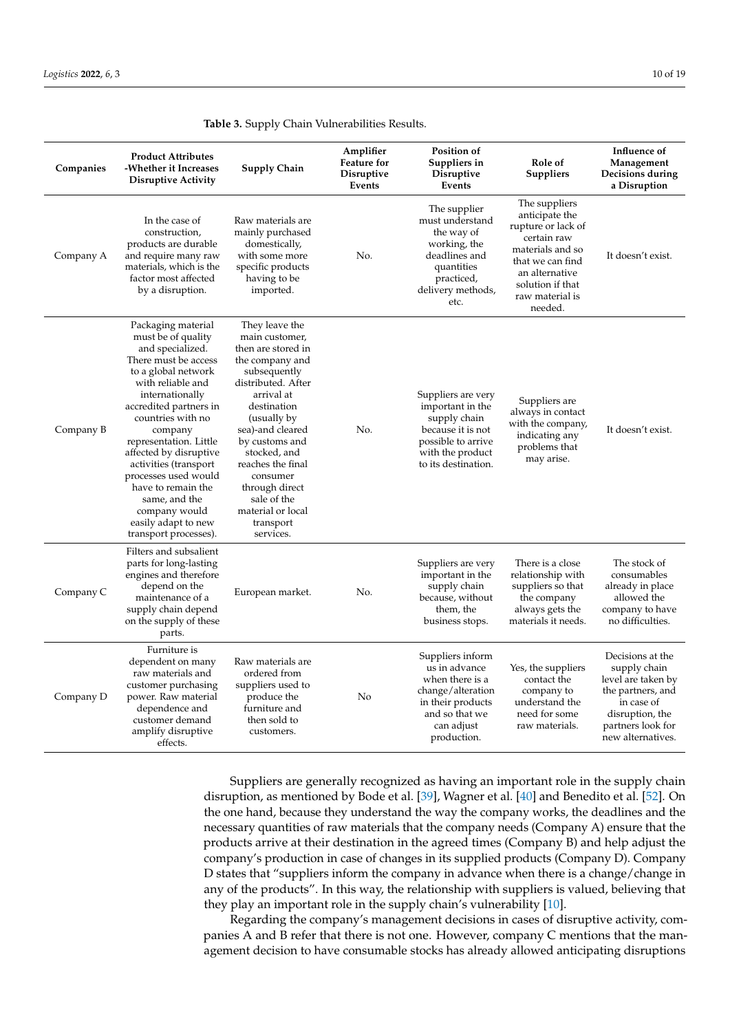| Companies | <b>Product Attributes</b><br>-Whether it Increases<br><b>Disruptive Activity</b>                                                                                                                                                                                                                                                                                                                                           | <b>Supply Chain</b>                                                                                                                                                                                                                                                                                                                | Amplifier<br><b>Feature</b> for<br><b>Disruptive</b><br>Events | Position of<br>Suppliers in<br><b>Disruptive</b><br>Events                                                                                    | Role of<br>Suppliers                                                                                                                                                             | Influence of<br>Management<br>Decisions during<br>a Disruption                                                                                         |
|-----------|----------------------------------------------------------------------------------------------------------------------------------------------------------------------------------------------------------------------------------------------------------------------------------------------------------------------------------------------------------------------------------------------------------------------------|------------------------------------------------------------------------------------------------------------------------------------------------------------------------------------------------------------------------------------------------------------------------------------------------------------------------------------|----------------------------------------------------------------|-----------------------------------------------------------------------------------------------------------------------------------------------|----------------------------------------------------------------------------------------------------------------------------------------------------------------------------------|--------------------------------------------------------------------------------------------------------------------------------------------------------|
| Company A | In the case of<br>construction,<br>products are durable<br>and require many raw<br>materials, which is the<br>factor most affected<br>by a disruption.                                                                                                                                                                                                                                                                     | Raw materials are<br>mainly purchased<br>domestically,<br>with some more<br>specific products<br>having to be<br>imported.                                                                                                                                                                                                         | No.                                                            | The supplier<br>must understand<br>the way of<br>working, the<br>deadlines and<br>quantities<br>practiced,<br>delivery methods,<br>etc.       | The suppliers<br>anticipate the<br>rupture or lack of<br>certain raw<br>materials and so<br>that we can find<br>an alternative<br>solution if that<br>raw material is<br>needed. | It doesn't exist.                                                                                                                                      |
| Company B | Packaging material<br>must be of quality<br>and specialized.<br>There must be access<br>to a global network<br>with reliable and<br>internationally<br>accredited partners in<br>countries with no<br>company<br>representation. Little<br>affected by disruptive<br>activities (transport<br>processes used would<br>have to remain the<br>same, and the<br>company would<br>easily adapt to new<br>transport processes). | They leave the<br>main customer,<br>then are stored in<br>the company and<br>subsequently<br>distributed. After<br>arrival at<br>destination<br>(usually by<br>sea)-and cleared<br>by customs and<br>stocked, and<br>reaches the final<br>consumer<br>through direct<br>sale of the<br>material or local<br>transport<br>services. | No.                                                            | Suppliers are very<br>important in the<br>supply chain<br>because it is not<br>possible to arrive<br>with the product<br>to its destination.  | Suppliers are<br>always in contact<br>with the company,<br>indicating any<br>problems that<br>may arise.                                                                         | It doesn't exist.                                                                                                                                      |
| Company C | Filters and subsalient<br>parts for long-lasting<br>engines and therefore<br>depend on the<br>maintenance of a<br>supply chain depend<br>on the supply of these<br>parts.                                                                                                                                                                                                                                                  | European market.                                                                                                                                                                                                                                                                                                                   | No.                                                            | Suppliers are very<br>important in the<br>supply chain<br>because, without<br>them, the<br>business stops.                                    | There is a close<br>relationship with<br>suppliers so that<br>the company<br>always gets the<br>materials it needs.                                                              | The stock of<br>consumables<br>already in place<br>allowed the<br>company to have<br>no difficulties.                                                  |
| Company D | Furniture is<br>dependent on many<br>raw materials and<br>customer purchasing<br>power. Raw material<br>dependence and<br>customer demand<br>amplify disruptive<br>effects.                                                                                                                                                                                                                                                | Raw materials are<br>ordered from<br>suppliers used to<br>produce the<br>furniture and<br>then sold to<br>customers.                                                                                                                                                                                                               | No                                                             | Suppliers inform<br>us in advance<br>when there is a<br>change/alteration<br>in their products<br>and so that we<br>can adjust<br>production. | Yes, the suppliers<br>contact the<br>company to<br>understand the<br>need for some<br>raw materials.                                                                             | Decisions at the<br>supply chain<br>level are taken by<br>the partners, and<br>in case of<br>disruption, the<br>partners look for<br>new alternatives. |

<span id="page-9-0"></span>

Suppliers are generally recognized as having an important role in the supply chain disruption, as mentioned by Bode et al. [\[39\]](#page-16-1), Wagner et al. [\[40\]](#page-16-2) and Benedito et al. [\[52\]](#page-16-14). On the one hand, because they understand the way the company works, the deadlines and the necessary quantities of raw materials that the company needs (Company A) ensure that the products arrive at their destination in the agreed times (Company B) and help adjust the company's production in case of changes in its supplied products (Company D). Company D states that "suppliers inform the company in advance when there is a change/change in any of the products". In this way, the relationship with suppliers is valued, believing that they play an important role in the supply chain's vulnerability [\[10\]](#page-15-4).

Regarding the company's management decisions in cases of disruptive activity, companies A and B refer that there is not one. However, company C mentions that the management decision to have consumable stocks has already allowed anticipating disruptions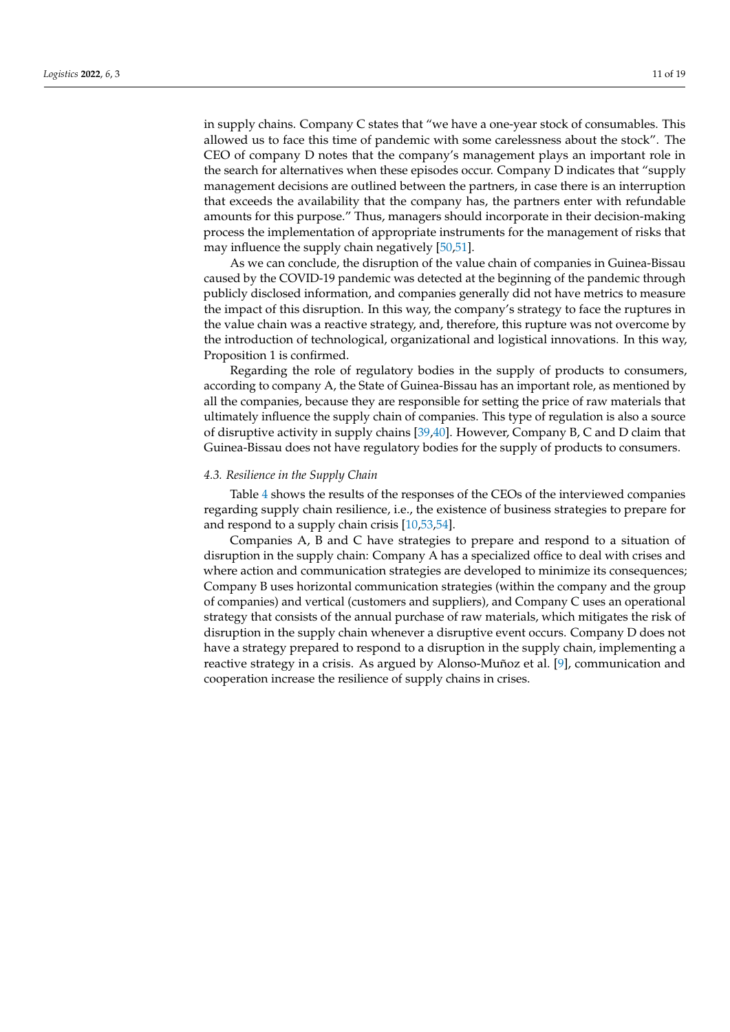in supply chains. Company C states that "we have a one-year stock of consumables. This allowed us to face this time of pandemic with some carelessness about the stock". The CEO of company D notes that the company's management plays an important role in the search for alternatives when these episodes occur. Company D indicates that "supply management decisions are outlined between the partners, in case there is an interruption that exceeds the availability that the company has, the partners enter with refundable amounts for this purpose." Thus, managers should incorporate in their decision-making process the implementation of appropriate instruments for the management of risks that may influence the supply chain negatively [\[50](#page-16-12)[,51\]](#page-16-13).

As we can conclude, the disruption of the value chain of companies in Guinea-Bissau caused by the COVID-19 pandemic was detected at the beginning of the pandemic through publicly disclosed information, and companies generally did not have metrics to measure the impact of this disruption. In this way, the company's strategy to face the ruptures in the value chain was a reactive strategy, and, therefore, this rupture was not overcome by the introduction of technological, organizational and logistical innovations. In this way, Proposition 1 is confirmed.

Regarding the role of regulatory bodies in the supply of products to consumers, according to company A, the State of Guinea-Bissau has an important role, as mentioned by all the companies, because they are responsible for setting the price of raw materials that ultimately influence the supply chain of companies. This type of regulation is also a source of disruptive activity in supply chains [\[39](#page-16-1)[,40\]](#page-16-2). However, Company B, C and D claim that Guinea-Bissau does not have regulatory bodies for the supply of products to consumers.

## *4.3. Resilience in the Supply Chain*

Table [4](#page-11-0) shows the results of the responses of the CEOs of the interviewed companies regarding supply chain resilience, i.e., the existence of business strategies to prepare for and respond to a supply chain crisis [\[10](#page-15-4)[,53](#page-16-15)[,54\]](#page-16-16).

Companies A, B and C have strategies to prepare and respond to a situation of disruption in the supply chain: Company A has a specialized office to deal with crises and where action and communication strategies are developed to minimize its consequences; Company B uses horizontal communication strategies (within the company and the group of companies) and vertical (customers and suppliers), and Company C uses an operational strategy that consists of the annual purchase of raw materials, which mitigates the risk of disruption in the supply chain whenever a disruptive event occurs. Company D does not have a strategy prepared to respond to a disruption in the supply chain, implementing a reactive strategy in a crisis. As argued by Alonso-Muñoz et al. [\[9\]](#page-15-3), communication and cooperation increase the resilience of supply chains in crises.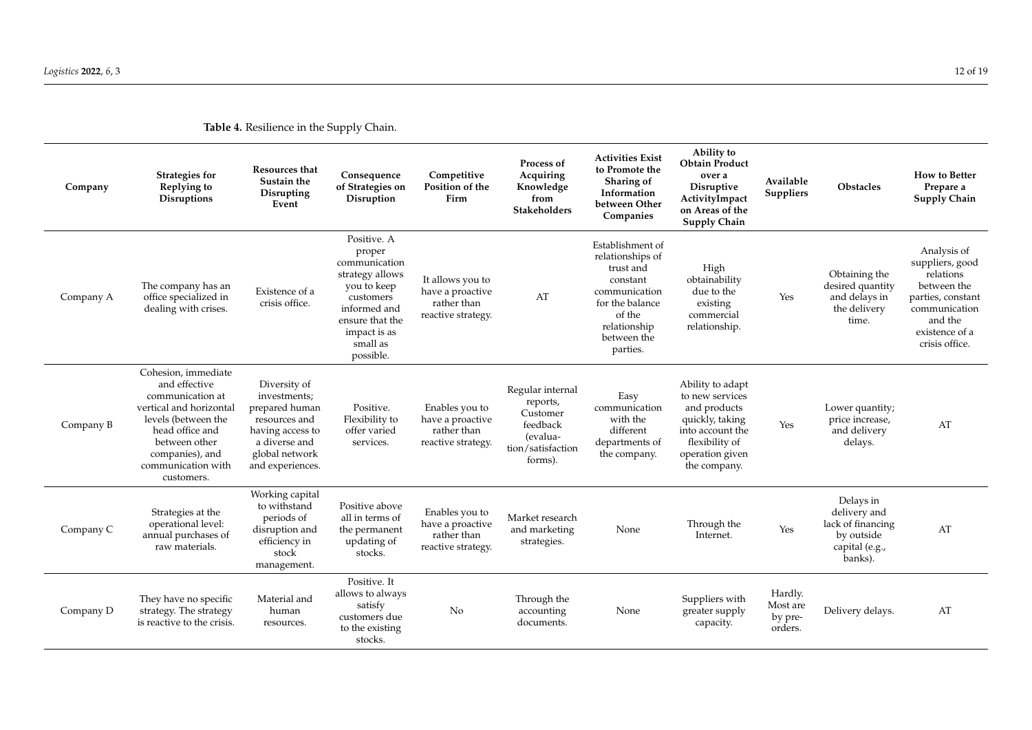<span id="page-11-0"></span>

| Company   | Strategies for<br>Replying to<br><b>Disruptions</b>                                                                                                                                                   | Resources that<br>Sustain the<br>Disrupting<br>Event                                                                                       | Consequence<br>of Strategies on<br>Disruption                                                                                                                     | Competitive<br>Position of the<br>Firm                                    | Process of<br>Acquiring<br>Knowledge<br>from<br><b>Stakeholders</b>                              | <b>Activities Exist</b><br>to Promote the<br>Sharing of<br>Information<br>between Other<br>Companies                                                   | Ability to<br><b>Obtain Product</b><br>over a<br><b>Disruptive</b><br>ActivityImpact<br>on Areas of the<br><b>Supply Chain</b>                  | Available<br><b>Suppliers</b>             | <b>Obstacles</b>                                                                          | <b>How to Better</b><br>Prepare a<br>Supply Chain                                                                                               |
|-----------|-------------------------------------------------------------------------------------------------------------------------------------------------------------------------------------------------------|--------------------------------------------------------------------------------------------------------------------------------------------|-------------------------------------------------------------------------------------------------------------------------------------------------------------------|---------------------------------------------------------------------------|--------------------------------------------------------------------------------------------------|--------------------------------------------------------------------------------------------------------------------------------------------------------|-------------------------------------------------------------------------------------------------------------------------------------------------|-------------------------------------------|-------------------------------------------------------------------------------------------|-------------------------------------------------------------------------------------------------------------------------------------------------|
| Company A | The company has an<br>office specialized in<br>dealing with crises.                                                                                                                                   | Existence of a<br>crisis office.                                                                                                           | Positive. A<br>proper<br>communication<br>strategy allows<br>you to keep<br>customers<br>informed and<br>ensure that the<br>impact is as<br>small as<br>possible. | It allows you to<br>have a proactive<br>rather than<br>reactive strategy. | AT                                                                                               | Establishment of<br>relationships of<br>trust and<br>constant<br>communication<br>for the balance<br>of the<br>relationship<br>between the<br>parties. | High<br>obtainability<br>due to the<br>existing<br>commercial<br>relationship.                                                                  | Yes                                       | Obtaining the<br>desired quantity<br>and delays in<br>the delivery<br>time.               | Analysis of<br>suppliers, good<br>relations<br>between the<br>parties, constant<br>communication<br>and the<br>existence of a<br>crisis office. |
| Company B | Cohesion, immediate<br>and effective<br>communication at<br>vertical and horizontal<br>levels (between the<br>head office and<br>between other<br>companies), and<br>communication with<br>customers. | Diversity of<br>investments;<br>prepared human<br>resources and<br>having access to<br>a diverse and<br>global network<br>and experiences. | Positive.<br>Flexibility to<br>offer varied<br>services.                                                                                                          | Enables you to<br>have a proactive<br>rather than<br>reactive strategy.   | Regular internal<br>reports,<br>Customer<br>feedback<br>(evalua-<br>tion/satisfaction<br>forms). | Easy<br>communication<br>with the<br>different<br>departments of<br>the company.                                                                       | Ability to adapt<br>to new services<br>and products<br>quickly, taking<br>into account the<br>flexibility of<br>operation given<br>the company. | Yes                                       | Lower quantity;<br>price increase,<br>and delivery<br>delays.                             | AT                                                                                                                                              |
| Company C | Strategies at the<br>operational level:<br>annual purchases of<br>raw materials.                                                                                                                      | Working capital<br>to withstand<br>periods of<br>disruption and<br>efficiency in<br>stock<br>management.                                   | Positive above<br>all in terms of<br>the permanent<br>updating of<br>stocks.                                                                                      | Enables you to<br>have a proactive<br>rather than<br>reactive strategy.   | Market research<br>and marketing<br>strategies.                                                  | None                                                                                                                                                   | Through the<br>Internet.                                                                                                                        | Yes                                       | Delays in<br>delivery and<br>lack of financing<br>by outside<br>capital (e.g.,<br>banks). | AT                                                                                                                                              |
| Company D | They have no specific<br>strategy. The strategy<br>is reactive to the crisis.                                                                                                                         | Material and<br>human<br>resources.                                                                                                        | Positive. It<br>allows to always<br>satisfy<br>customers due<br>to the existing<br>stocks.                                                                        | No                                                                        | Through the<br>accounting<br>documents.                                                          | None                                                                                                                                                   | Suppliers with<br>greater supply<br>capacity.                                                                                                   | Hardly.<br>Most are<br>by pre-<br>orders. | Delivery delays.                                                                          | AT                                                                                                                                              |

**Table 4.** Resilience in the Supply Chain.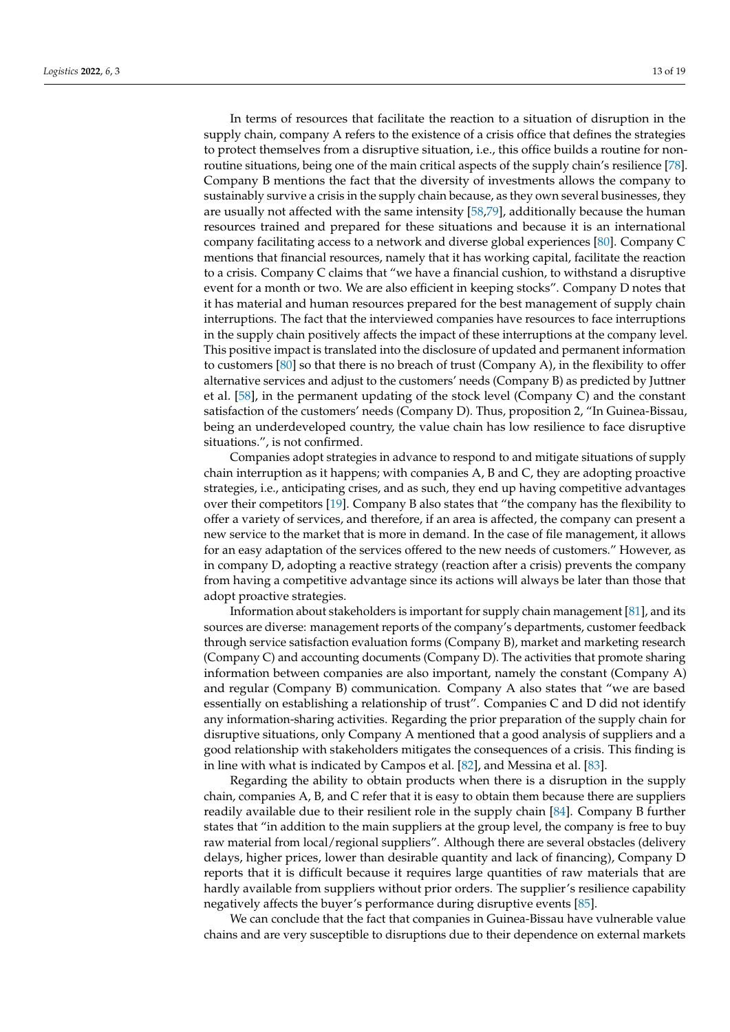In terms of resources that facilitate the reaction to a situation of disruption in the supply chain, company A refers to the existence of a crisis office that defines the strategies to protect themselves from a disruptive situation, i.e., this office builds a routine for nonroutine situations, being one of the main critical aspects of the supply chain's resilience [\[78\]](#page-17-11). Company B mentions the fact that the diversity of investments allows the company to sustainably survive a crisis in the supply chain because, as they own several businesses, they are usually not affected with the same intensity [\[58](#page-16-20)[,79\]](#page-17-12), additionally because the human resources trained and prepared for these situations and because it is an international company facilitating access to a network and diverse global experiences [\[80\]](#page-17-13). Company C mentions that financial resources, namely that it has working capital, facilitate the reaction to a crisis. Company C claims that "we have a financial cushion, to withstand a disruptive event for a month or two. We are also efficient in keeping stocks". Company D notes that it has material and human resources prepared for the best management of supply chain interruptions. The fact that the interviewed companies have resources to face interruptions in the supply chain positively affects the impact of these interruptions at the company level. This positive impact is translated into the disclosure of updated and permanent information to customers [\[80\]](#page-17-13) so that there is no breach of trust (Company A), in the flexibility to offer alternative services and adjust to the customers' needs (Company B) as predicted by Juttner et al. [\[58\]](#page-16-20), in the permanent updating of the stock level (Company C) and the constant satisfaction of the customers' needs (Company D). Thus, proposition 2, "In Guinea-Bissau, being an underdeveloped country, the value chain has low resilience to face disruptive situations.", is not confirmed.

Companies adopt strategies in advance to respond to and mitigate situations of supply chain interruption as it happens; with companies A, B and C, they are adopting proactive strategies, i.e., anticipating crises, and as such, they end up having competitive advantages over their competitors [\[19\]](#page-15-13). Company B also states that "the company has the flexibility to offer a variety of services, and therefore, if an area is affected, the company can present a new service to the market that is more in demand. In the case of file management, it allows for an easy adaptation of the services offered to the new needs of customers." However, as in company D, adopting a reactive strategy (reaction after a crisis) prevents the company from having a competitive advantage since its actions will always be later than those that adopt proactive strategies.

Information about stakeholders is important for supply chain management [\[81\]](#page-17-14), and its sources are diverse: management reports of the company's departments, customer feedback through service satisfaction evaluation forms (Company B), market and marketing research (Company C) and accounting documents (Company D). The activities that promote sharing information between companies are also important, namely the constant (Company A) and regular (Company B) communication. Company A also states that "we are based essentially on establishing a relationship of trust". Companies C and D did not identify any information-sharing activities. Regarding the prior preparation of the supply chain for disruptive situations, only Company A mentioned that a good analysis of suppliers and a good relationship with stakeholders mitigates the consequences of a crisis. This finding is in line with what is indicated by Campos et al. [\[82\]](#page-17-15), and Messina et al. [\[83\]](#page-17-16).

Regarding the ability to obtain products when there is a disruption in the supply chain, companies A, B, and C refer that it is easy to obtain them because there are suppliers readily available due to their resilient role in the supply chain [\[84\]](#page-17-17). Company B further states that "in addition to the main suppliers at the group level, the company is free to buy raw material from local/regional suppliers". Although there are several obstacles (delivery delays, higher prices, lower than desirable quantity and lack of financing), Company D reports that it is difficult because it requires large quantities of raw materials that are hardly available from suppliers without prior orders. The supplier's resilience capability negatively affects the buyer's performance during disruptive events [\[85\]](#page-17-18).

We can conclude that the fact that companies in Guinea-Bissau have vulnerable value chains and are very susceptible to disruptions due to their dependence on external markets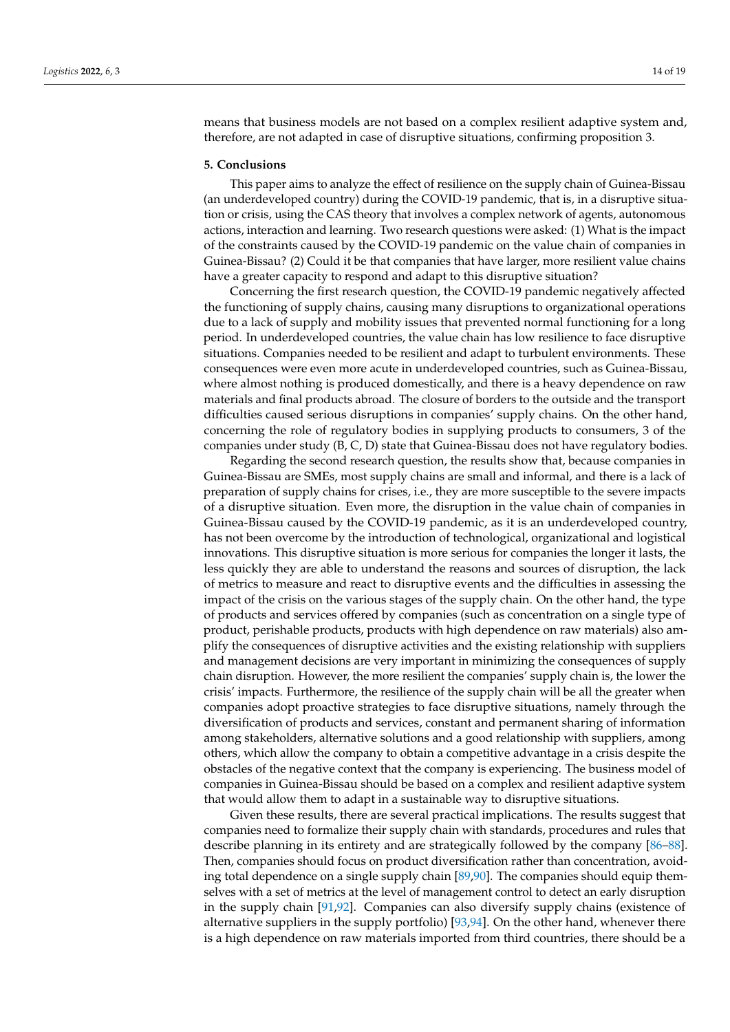means that business models are not based on a complex resilient adaptive system and, therefore, are not adapted in case of disruptive situations, confirming proposition 3.

#### **5. Conclusions**

This paper aims to analyze the effect of resilience on the supply chain of Guinea-Bissau (an underdeveloped country) during the COVID-19 pandemic, that is, in a disruptive situation or crisis, using the CAS theory that involves a complex network of agents, autonomous actions, interaction and learning. Two research questions were asked: (1) What is the impact of the constraints caused by the COVID-19 pandemic on the value chain of companies in Guinea-Bissau? (2) Could it be that companies that have larger, more resilient value chains have a greater capacity to respond and adapt to this disruptive situation?

Concerning the first research question, the COVID-19 pandemic negatively affected the functioning of supply chains, causing many disruptions to organizational operations due to a lack of supply and mobility issues that prevented normal functioning for a long period. In underdeveloped countries, the value chain has low resilience to face disruptive situations. Companies needed to be resilient and adapt to turbulent environments. These consequences were even more acute in underdeveloped countries, such as Guinea-Bissau, where almost nothing is produced domestically, and there is a heavy dependence on raw materials and final products abroad. The closure of borders to the outside and the transport difficulties caused serious disruptions in companies' supply chains. On the other hand, concerning the role of regulatory bodies in supplying products to consumers, 3 of the companies under study (B, C, D) state that Guinea-Bissau does not have regulatory bodies.

Regarding the second research question, the results show that, because companies in Guinea-Bissau are SMEs, most supply chains are small and informal, and there is a lack of preparation of supply chains for crises, i.e., they are more susceptible to the severe impacts of a disruptive situation. Even more, the disruption in the value chain of companies in Guinea-Bissau caused by the COVID-19 pandemic, as it is an underdeveloped country, has not been overcome by the introduction of technological, organizational and logistical innovations. This disruptive situation is more serious for companies the longer it lasts, the less quickly they are able to understand the reasons and sources of disruption, the lack of metrics to measure and react to disruptive events and the difficulties in assessing the impact of the crisis on the various stages of the supply chain. On the other hand, the type of products and services offered by companies (such as concentration on a single type of product, perishable products, products with high dependence on raw materials) also amplify the consequences of disruptive activities and the existing relationship with suppliers and management decisions are very important in minimizing the consequences of supply chain disruption. However, the more resilient the companies' supply chain is, the lower the crisis' impacts. Furthermore, the resilience of the supply chain will be all the greater when companies adopt proactive strategies to face disruptive situations, namely through the diversification of products and services, constant and permanent sharing of information among stakeholders, alternative solutions and a good relationship with suppliers, among others, which allow the company to obtain a competitive advantage in a crisis despite the obstacles of the negative context that the company is experiencing. The business model of companies in Guinea-Bissau should be based on a complex and resilient adaptive system that would allow them to adapt in a sustainable way to disruptive situations.

Given these results, there are several practical implications. The results suggest that companies need to formalize their supply chain with standards, procedures and rules that describe planning in its entirety and are strategically followed by the company [\[86](#page-17-19)[–88\]](#page-17-20). Then, companies should focus on product diversification rather than concentration, avoiding total dependence on a single supply chain [\[89](#page-17-21)[,90\]](#page-17-22). The companies should equip themselves with a set of metrics at the level of management control to detect an early disruption in the supply chain [\[91](#page-17-23)[,92\]](#page-17-24). Companies can also diversify supply chains (existence of alternative suppliers in the supply portfolio) [\[93,](#page-17-25)[94\]](#page-17-26). On the other hand, whenever there is a high dependence on raw materials imported from third countries, there should be a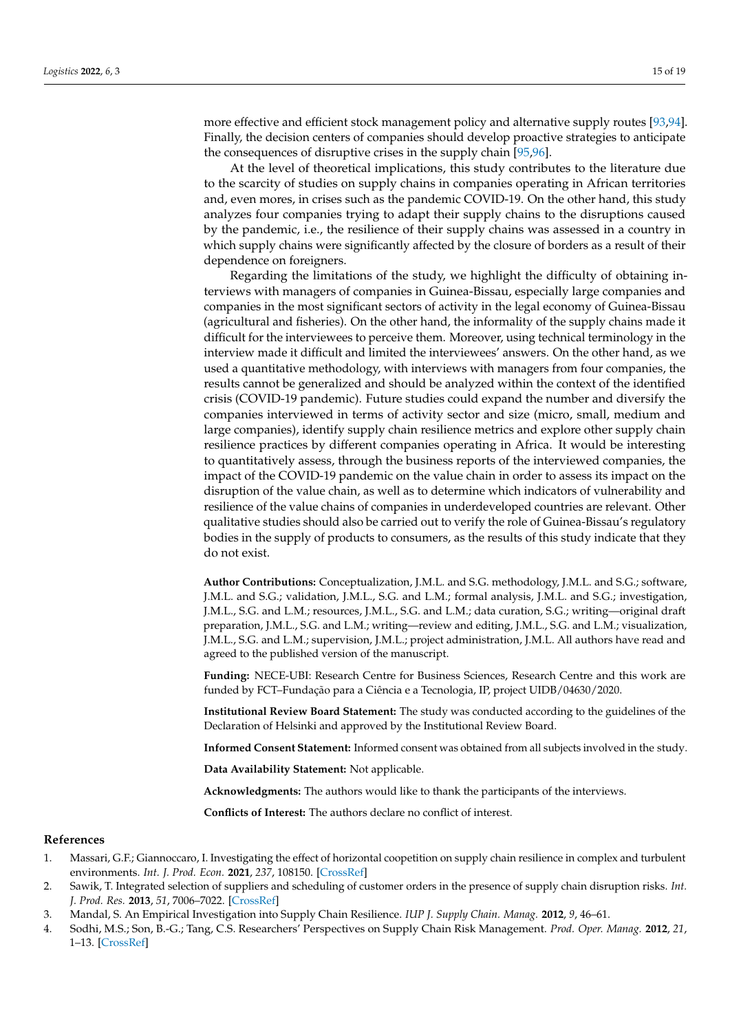more effective and efficient stock management policy and alternative supply routes [\[93](#page-17-25)[,94\]](#page-17-26). Finally, the decision centers of companies should develop proactive strategies to anticipate the consequences of disruptive crises in the supply chain [\[95,](#page-18-0)[96\]](#page-18-1).

At the level of theoretical implications, this study contributes to the literature due to the scarcity of studies on supply chains in companies operating in African territories and, even mores, in crises such as the pandemic COVID-19. On the other hand, this study analyzes four companies trying to adapt their supply chains to the disruptions caused by the pandemic, i.e., the resilience of their supply chains was assessed in a country in which supply chains were significantly affected by the closure of borders as a result of their dependence on foreigners.

Regarding the limitations of the study, we highlight the difficulty of obtaining interviews with managers of companies in Guinea-Bissau, especially large companies and companies in the most significant sectors of activity in the legal economy of Guinea-Bissau (agricultural and fisheries). On the other hand, the informality of the supply chains made it difficult for the interviewees to perceive them. Moreover, using technical terminology in the interview made it difficult and limited the interviewees' answers. On the other hand, as we used a quantitative methodology, with interviews with managers from four companies, the results cannot be generalized and should be analyzed within the context of the identified crisis (COVID-19 pandemic). Future studies could expand the number and diversify the companies interviewed in terms of activity sector and size (micro, small, medium and large companies), identify supply chain resilience metrics and explore other supply chain resilience practices by different companies operating in Africa. It would be interesting to quantitatively assess, through the business reports of the interviewed companies, the impact of the COVID-19 pandemic on the value chain in order to assess its impact on the disruption of the value chain, as well as to determine which indicators of vulnerability and resilience of the value chains of companies in underdeveloped countries are relevant. Other qualitative studies should also be carried out to verify the role of Guinea-Bissau's regulatory bodies in the supply of products to consumers, as the results of this study indicate that they do not exist.

**Author Contributions:** Conceptualization, J.M.L. and S.G. methodology, J.M.L. and S.G.; software, J.M.L. and S.G.; validation, J.M.L., S.G. and L.M.; formal analysis, J.M.L. and S.G.; investigation, J.M.L., S.G. and L.M.; resources, J.M.L., S.G. and L.M.; data curation, S.G.; writing—original draft preparation, J.M.L., S.G. and L.M.; writing—review and editing, J.M.L., S.G. and L.M.; visualization, J.M.L., S.G. and L.M.; supervision, J.M.L.; project administration, J.M.L. All authors have read and agreed to the published version of the manuscript.

**Funding:** NECE-UBI: Research Centre for Business Sciences, Research Centre and this work are funded by FCT–Fundação para a Ciência e a Tecnologia, IP, project UIDB/04630/2020.

**Institutional Review Board Statement:** The study was conducted according to the guidelines of the Declaration of Helsinki and approved by the Institutional Review Board.

**Informed Consent Statement:** Informed consent was obtained from all subjects involved in the study.

**Data Availability Statement:** Not applicable.

**Acknowledgments:** The authors would like to thank the participants of the interviews.

**Conflicts of Interest:** The authors declare no conflict of interest.

## **References**

- <span id="page-14-0"></span>1. Massari, G.F.; Giannoccaro, I. Investigating the effect of horizontal coopetition on supply chain resilience in complex and turbulent environments. *Int. J. Prod. Econ.* **2021**, *237*, 108150. [\[CrossRef\]](http://doi.org/10.1016/j.ijpe.2021.108150)
- 2. Sawik, T. Integrated selection of suppliers and scheduling of customer orders in the presence of supply chain disruption risks. *Int. J. Prod. Res.* **2013**, *51*, 7006–7022. [\[CrossRef\]](http://doi.org/10.1080/00207543.2013.852702)
- 3. Mandal, S. An Empirical Investigation into Supply Chain Resilience. *IUP J. Supply Chain. Manag.* **2012**, *9*, 46–61.
- 4. Sodhi, M.S.; Son, B.-G.; Tang, C.S. Researchers' Perspectives on Supply Chain Risk Management. *Prod. Oper. Manag.* **2012**, *21*, 1–13. [\[CrossRef\]](http://doi.org/10.1111/j.1937-5956.2011.01251.x)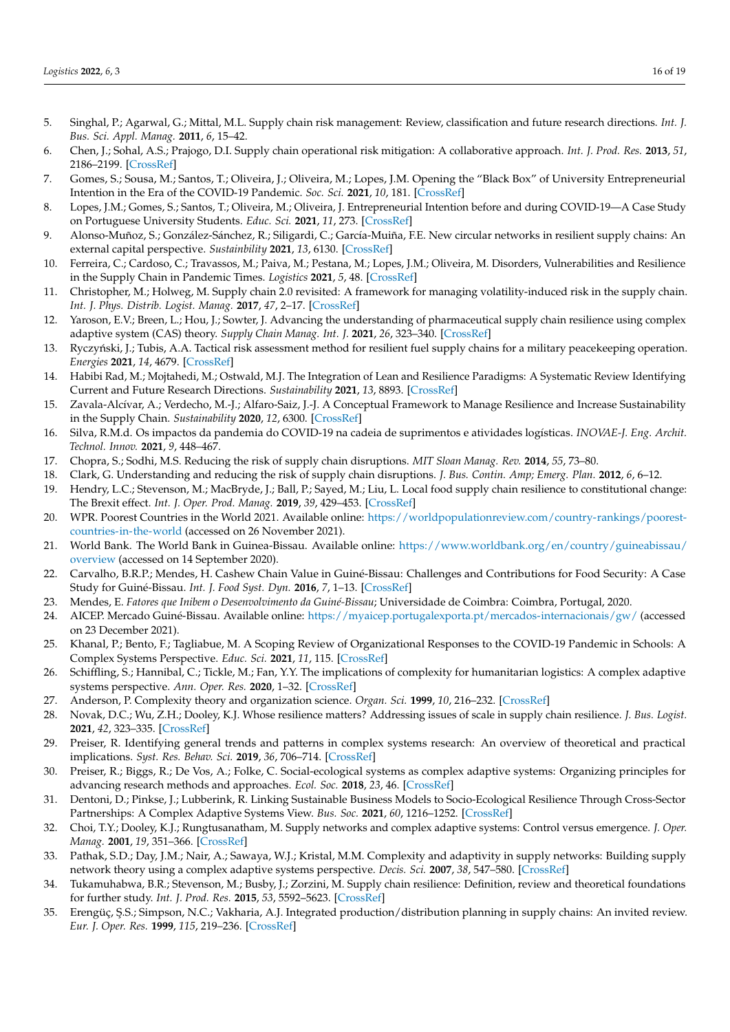- 5. Singhal, P.; Agarwal, G.; Mittal, M.L. Supply chain risk management: Review, classification and future research directions. *Int. J. Bus. Sci. Appl. Manag.* **2011**, *6*, 15–42.
- <span id="page-15-0"></span>6. Chen, J.; Sohal, A.S.; Prajogo, D.I. Supply chain operational risk mitigation: A collaborative approach. *Int. J. Prod. Res.* **2013**, *51*, 2186–2199. [\[CrossRef\]](http://doi.org/10.1080/00207543.2012.727490)
- <span id="page-15-1"></span>7. Gomes, S.; Sousa, M.; Santos, T.; Oliveira, J.; Oliveira, M.; Lopes, J.M. Opening the "Black Box" of University Entrepreneurial Intention in the Era of the COVID-19 Pandemic. *Soc. Sci.* **2021**, *10*, 181. [\[CrossRef\]](http://doi.org/10.3390/socsci10050181)
- <span id="page-15-2"></span>8. Lopes, J.M.; Gomes, S.; Santos, T.; Oliveira, M.; Oliveira, J. Entrepreneurial Intention before and during COVID-19—A Case Study on Portuguese University Students. *Educ. Sci.* **2021**, *11*, 273. [\[CrossRef\]](http://doi.org/10.3390/educsci11060273)
- <span id="page-15-3"></span>9. Alonso-Muñoz, S.; González-Sánchez, R.; Siligardi, C.; García-Muiña, F.E. New circular networks in resilient supply chains: An external capital perspective. *Sustainbility* **2021**, *13*, 6130. [\[CrossRef\]](http://doi.org/10.3390/su13116130)
- <span id="page-15-4"></span>10. Ferreira, C.; Cardoso, C.; Travassos, M.; Paiva, M.; Pestana, M.; Lopes, J.M.; Oliveira, M. Disorders, Vulnerabilities and Resilience in the Supply Chain in Pandemic Times. *Logistics* **2021**, *5*, 48. [\[CrossRef\]](http://doi.org/10.3390/logistics5030048)
- <span id="page-15-5"></span>11. Christopher, M.; Holweg, M. Supply chain 2.0 revisited: A framework for managing volatility-induced risk in the supply chain. *Int. J. Phys. Distrib. Logist. Manag.* **2017**, *47*, 2–17. [\[CrossRef\]](http://doi.org/10.1108/IJPDLM-09-2016-0245)
- <span id="page-15-6"></span>12. Yaroson, E.V.; Breen, L.; Hou, J.; Sowter, J. Advancing the understanding of pharmaceutical supply chain resilience using complex adaptive system (CAS) theory. *Supply Chain Manag. Int. J.* **2021**, *26*, 323–340. [\[CrossRef\]](http://doi.org/10.1108/SCM-05-2019-0184)
- <span id="page-15-7"></span>13. Ryczyński, J.; Tubis, A.A. Tactical risk assessment method for resilient fuel supply chains for a military peacekeeping operation. *Energies* **2021**, *14*, 4679. [\[CrossRef\]](http://doi.org/10.3390/en14154679)
- <span id="page-15-8"></span>14. Habibi Rad, M.; Mojtahedi, M.; Ostwald, M.J. The Integration of Lean and Resilience Paradigms: A Systematic Review Identifying Current and Future Research Directions. *Sustainability* **2021**, *13*, 8893. [\[CrossRef\]](http://doi.org/10.3390/su13168893)
- <span id="page-15-9"></span>15. Zavala-Alcívar, A.; Verdecho, M.-J.; Alfaro-Saiz, J.-J. A Conceptual Framework to Manage Resilience and Increase Sustainability in the Supply Chain. *Sustainability* **2020**, *12*, 6300. [\[CrossRef\]](http://doi.org/10.3390/su12166300)
- <span id="page-15-10"></span>16. Silva, R.M.d. Os impactos da pandemia do COVID-19 na cadeia de suprimentos e atividades logísticas. *INOVAE-J. Eng. Archit. Technol. Innov.* **2021**, *9*, 448–467.
- <span id="page-15-11"></span>17. Chopra, S.; Sodhi, M.S. Reducing the risk of supply chain disruptions. *MIT Sloan Manag. Rev.* **2014**, *55*, 73–80.
- <span id="page-15-12"></span>18. Clark, G. Understanding and reducing the risk of supply chain disruptions. *J. Bus. Contin. Amp; Emerg. Plan.* **2012**, *6*, 6–12.
- <span id="page-15-13"></span>19. Hendry, L.C.; Stevenson, M.; MacBryde, J.; Ball, P.; Sayed, M.; Liu, L. Local food supply chain resilience to constitutional change: The Brexit effect. *Int. J. Oper. Prod. Manag.* **2019**, *39*, 429–453. [\[CrossRef\]](http://doi.org/10.1108/IJOPM-03-2018-0184)
- <span id="page-15-14"></span>20. WPR. Poorest Countries in the World 2021. Available online: [https://worldpopulationreview.com/country-rankings/poorest](https://worldpopulationreview.com/country-rankings/poorest-countries-in-the-world)[countries-in-the-world](https://worldpopulationreview.com/country-rankings/poorest-countries-in-the-world) (accessed on 26 November 2021).
- <span id="page-15-15"></span>21. World Bank. The World Bank in Guinea-Bissau. Available online: [https://www.worldbank.org/en/country/guineabissau/](https://www.worldbank.org/en/country/guineabissau/overview) [overview](https://www.worldbank.org/en/country/guineabissau/overview) (accessed on 14 September 2020).
- <span id="page-15-16"></span>22. Carvalho, B.R.P.; Mendes, H. Cashew Chain Value in Guiné-Bissau: Challenges and Contributions for Food Security: A Case Study for Guiné-Bissau. *Int. J. Food Syst. Dyn.* **2016**, *7*, 1–13. [\[CrossRef\]](http://doi.org/10.18461/ijfsd.v7i1.711)
- <span id="page-15-17"></span>23. Mendes, E. *Fatores que Inibem o Desenvolvimento da Guiné-Bissau*; Universidade de Coimbra: Coimbra, Portugal, 2020.
- <span id="page-15-18"></span>24. AICEP. Mercado Guiné-Bissau. Available online: <https://myaicep.portugalexporta.pt/mercados-internacionais/gw/> (accessed on 23 December 2021).
- <span id="page-15-19"></span>25. Khanal, P.; Bento, F.; Tagliabue, M. A Scoping Review of Organizational Responses to the COVID-19 Pandemic in Schools: A Complex Systems Perspective. *Educ. Sci.* **2021**, *11*, 115. [\[CrossRef\]](http://doi.org/10.3390/educsci11030115)
- 26. Schiffling, S.; Hannibal, C.; Tickle, M.; Fan, Y.Y. The implications of complexity for humanitarian logistics: A complex adaptive systems perspective. *Ann. Oper. Res.* **2020**, 1–32. [\[CrossRef\]](http://doi.org/10.1007/s10479-020-03658-w)
- <span id="page-15-20"></span>27. Anderson, P. Complexity theory and organization science. *Organ. Sci.* **1999**, *10*, 216–232. [\[CrossRef\]](http://doi.org/10.1287/orsc.10.3.216)
- <span id="page-15-21"></span>28. Novak, D.C.; Wu, Z.H.; Dooley, K.J. Whose resilience matters? Addressing issues of scale in supply chain resilience. *J. Bus. Logist.* **2021**, *42*, 323–335. [\[CrossRef\]](http://doi.org/10.1111/jbl.12270)
- <span id="page-15-22"></span>29. Preiser, R. Identifying general trends and patterns in complex systems research: An overview of theoretical and practical implications. *Syst. Res. Behav. Sci.* **2019**, *36*, 706–714. [\[CrossRef\]](http://doi.org/10.1002/sres.2619)
- <span id="page-15-23"></span>30. Preiser, R.; Biggs, R.; De Vos, A.; Folke, C. Social-ecological systems as complex adaptive systems: Organizing principles for advancing research methods and approaches. *Ecol. Soc.* **2018**, *23*, 46. [\[CrossRef\]](http://doi.org/10.5751/ES-10558-230446)
- <span id="page-15-24"></span>31. Dentoni, D.; Pinkse, J.; Lubberink, R. Linking Sustainable Business Models to Socio-Ecological Resilience Through Cross-Sector Partnerships: A Complex Adaptive Systems View. *Bus. Soc.* **2021**, *60*, 1216–1252. [\[CrossRef\]](http://doi.org/10.1177/0007650320935015)
- <span id="page-15-25"></span>32. Choi, T.Y.; Dooley, K.J.; Rungtusanatham, M. Supply networks and complex adaptive systems: Control versus emergence. *J. Oper. Manag.* **2001**, *19*, 351–366. [\[CrossRef\]](http://doi.org/10.1016/S0272-6963(00)00068-1)
- <span id="page-15-26"></span>33. Pathak, S.D.; Day, J.M.; Nair, A.; Sawaya, W.J.; Kristal, M.M. Complexity and adaptivity in supply networks: Building supply network theory using a complex adaptive systems perspective. *Decis. Sci.* **2007**, *38*, 547–580. [\[CrossRef\]](http://doi.org/10.1111/j.1540-5915.2007.00170.x)
- <span id="page-15-27"></span>34. Tukamuhabwa, B.R.; Stevenson, M.; Busby, J.; Zorzini, M. Supply chain resilience: Definition, review and theoretical foundations for further study. *Int. J. Prod. Res.* **2015**, *53*, 5592–5623. [\[CrossRef\]](http://doi.org/10.1080/00207543.2015.1037934)
- <span id="page-15-28"></span>35. Erengüç, Ş.S.; Simpson, N.C.; Vakharia, A.J. Integrated production/distribution planning in supply chains: An invited review. *Eur. J. Oper. Res.* **1999**, *115*, 219–236. [\[CrossRef\]](http://doi.org/10.1016/S0377-2217(98)90299-5)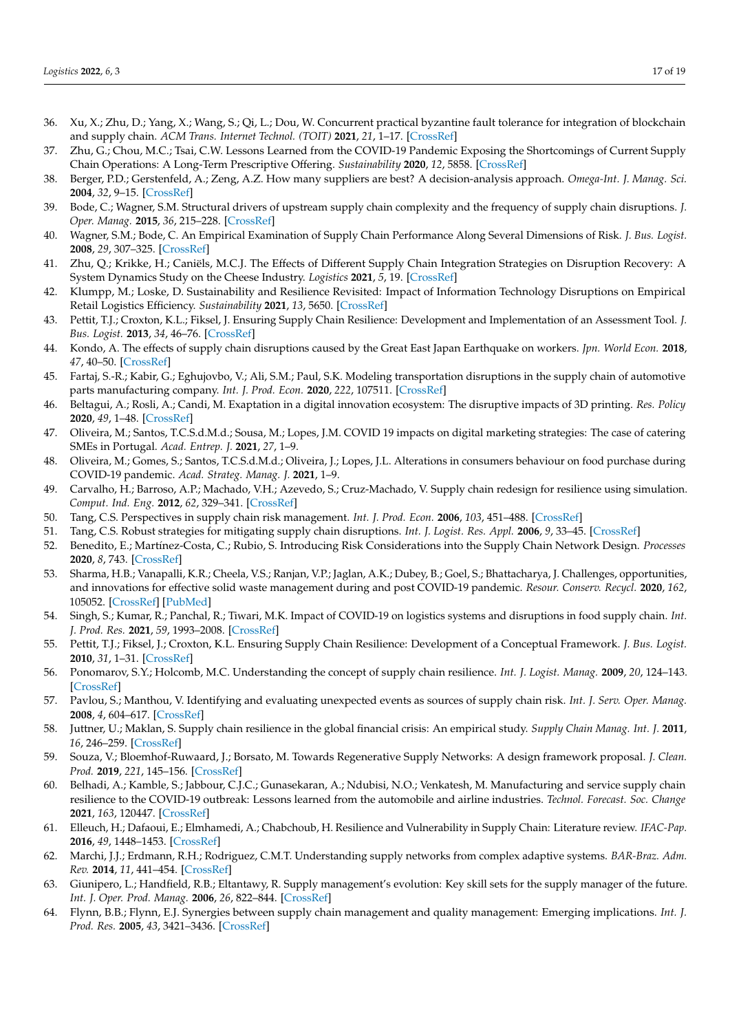- 36. Xu, X.; Zhu, D.; Yang, X.; Wang, S.; Qi, L.; Dou, W. Concurrent practical byzantine fault tolerance for integration of blockchain and supply chain. *ACM Trans. Internet Technol. (TOIT)* **2021**, *21*, 1–17. [\[CrossRef\]](http://doi.org/10.1145/3395331)
- 37. Zhu, G.; Chou, M.C.; Tsai, C.W. Lessons Learned from the COVID-19 Pandemic Exposing the Shortcomings of Current Supply Chain Operations: A Long-Term Prescriptive Offering. *Sustainability* **2020**, *12*, 5858. [\[CrossRef\]](http://doi.org/10.3390/su12145858)
- <span id="page-16-0"></span>38. Berger, P.D.; Gerstenfeld, A.; Zeng, A.Z. How many suppliers are best? A decision-analysis approach. *Omega-Int. J. Manag. Sci.* **2004**, *32*, 9–15. [\[CrossRef\]](http://doi.org/10.1016/j.omega.2003.09.001)
- <span id="page-16-1"></span>39. Bode, C.; Wagner, S.M. Structural drivers of upstream supply chain complexity and the frequency of supply chain disruptions. *J. Oper. Manag.* **2015**, *36*, 215–228. [\[CrossRef\]](http://doi.org/10.1016/j.jom.2014.12.004)
- <span id="page-16-2"></span>40. Wagner, S.M.; Bode, C. An Empirical Examination of Supply Chain Performance Along Several Dimensions of Risk. *J. Bus. Logist.* **2008**, *29*, 307–325. [\[CrossRef\]](http://doi.org/10.1002/j.2158-1592.2008.tb00081.x)
- <span id="page-16-3"></span>41. Zhu, Q.; Krikke, H.; Caniëls, M.C.J. The Effects of Different Supply Chain Integration Strategies on Disruption Recovery: A System Dynamics Study on the Cheese Industry. *Logistics* **2021**, *5*, 19. [\[CrossRef\]](http://doi.org/10.3390/logistics5020019)
- <span id="page-16-4"></span>42. Klumpp, M.; Loske, D. Sustainability and Resilience Revisited: Impact of Information Technology Disruptions on Empirical Retail Logistics Efficiency. *Sustainability* **2021**, *13*, 5650. [\[CrossRef\]](http://doi.org/10.3390/su13105650)
- <span id="page-16-5"></span>43. Pettit, T.J.; Croxton, K.L.; Fiksel, J. Ensuring Supply Chain Resilience: Development and Implementation of an Assessment Tool. *J. Bus. Logist.* **2013**, *34*, 46–76. [\[CrossRef\]](http://doi.org/10.1111/jbl.12009)
- <span id="page-16-6"></span>44. Kondo, A. The effects of supply chain disruptions caused by the Great East Japan Earthquake on workers. *Jpn. World Econ.* **2018**, *47*, 40–50. [\[CrossRef\]](http://doi.org/10.1016/j.japwor.2018.03.007)
- <span id="page-16-7"></span>45. Fartaj, S.-R.; Kabir, G.; Eghujovbo, V.; Ali, S.M.; Paul, S.K. Modeling transportation disruptions in the supply chain of automotive parts manufacturing company. *Int. J. Prod. Econ.* **2020**, *222*, 107511. [\[CrossRef\]](http://doi.org/10.1016/j.ijpe.2019.09.032)
- <span id="page-16-8"></span>46. Beltagui, A.; Rosli, A.; Candi, M. Exaptation in a digital innovation ecosystem: The disruptive impacts of 3D printing. *Res. Policy* **2020**, *49*, 1–48. [\[CrossRef\]](http://doi.org/10.1016/j.respol.2019.103833)
- <span id="page-16-9"></span>47. Oliveira, M.; Santos, T.C.S.d.M.d.; Sousa, M.; Lopes, J.M. COVID 19 impacts on digital marketing strategies: The case of catering SMEs in Portugal. *Acad. Entrep. J.* **2021**, *27*, 1–9.
- <span id="page-16-10"></span>48. Oliveira, M.; Gomes, S.; Santos, T.C.S.d.M.d.; Oliveira, J.; Lopes, J.L. Alterations in consumers behaviour on food purchase during COVID-19 pandemic. *Acad. Strateg. Manag. J.* **2021**, 1–9.
- <span id="page-16-11"></span>49. Carvalho, H.; Barroso, A.P.; Machado, V.H.; Azevedo, S.; Cruz-Machado, V. Supply chain redesign for resilience using simulation. *Comput. Ind. Eng.* **2012**, *62*, 329–341. [\[CrossRef\]](http://doi.org/10.1016/j.cie.2011.10.003)
- <span id="page-16-12"></span>50. Tang, C.S. Perspectives in supply chain risk management. *Int. J. Prod. Econ.* **2006**, *103*, 451–488. [\[CrossRef\]](http://doi.org/10.1016/j.ijpe.2005.12.006)
- <span id="page-16-13"></span>51. Tang, C.S. Robust strategies for mitigating supply chain disruptions. *Int. J. Logist. Res. Appl.* **2006**, *9*, 33–45. [\[CrossRef\]](http://doi.org/10.1080/13675560500405584)
- <span id="page-16-14"></span>52. Benedito, E.; Martínez-Costa, C.; Rubio, S. Introducing Risk Considerations into the Supply Chain Network Design. *Processes* **2020**, *8*, 743. [\[CrossRef\]](http://doi.org/10.3390/pr8060743)
- <span id="page-16-15"></span>53. Sharma, H.B.; Vanapalli, K.R.; Cheela, V.S.; Ranjan, V.P.; Jaglan, A.K.; Dubey, B.; Goel, S.; Bhattacharya, J. Challenges, opportunities, and innovations for effective solid waste management during and post COVID-19 pandemic. *Resour. Conserv. Recycl.* **2020**, *162*, 105052. [\[CrossRef\]](http://doi.org/10.1016/j.resconrec.2020.105052) [\[PubMed\]](http://www.ncbi.nlm.nih.gov/pubmed/32834486)
- <span id="page-16-16"></span>54. Singh, S.; Kumar, R.; Panchal, R.; Tiwari, M.K. Impact of COVID-19 on logistics systems and disruptions in food supply chain. *Int. J. Prod. Res.* **2021**, *59*, 1993–2008. [\[CrossRef\]](http://doi.org/10.1080/00207543.2020.1792000)
- <span id="page-16-17"></span>55. Pettit, T.J.; Fiksel, J.; Croxton, K.L. Ensuring Supply Chain Resilience: Development of a Conceptual Framework. *J. Bus. Logist.* **2010**, *31*, 1–31. [\[CrossRef\]](http://doi.org/10.1002/j.2158-1592.2010.tb00125.x)
- <span id="page-16-18"></span>56. Ponomarov, S.Y.; Holcomb, M.C. Understanding the concept of supply chain resilience. *Int. J. Logist. Manag.* **2009**, *20*, 124–143. [\[CrossRef\]](http://doi.org/10.1108/09574090910954873)
- <span id="page-16-19"></span>57. Pavlou, S.; Manthou, V. Identifying and evaluating unexpected events as sources of supply chain risk. *Int. J. Serv. Oper. Manag.* **2008**, *4*, 604–617. [\[CrossRef\]](http://doi.org/10.1504/IJSOM.2008.018004)
- <span id="page-16-20"></span>58. Juttner, U.; Maklan, S. Supply chain resilience in the global financial crisis: An empirical study. *Supply Chain Manag. Int. J.* **2011**, *16*, 246–259. [\[CrossRef\]](http://doi.org/10.1108/13598541111139062)
- <span id="page-16-21"></span>59. Souza, V.; Bloemhof-Ruwaard, J.; Borsato, M. Towards Regenerative Supply Networks: A design framework proposal. *J. Clean. Prod.* **2019**, *221*, 145–156. [\[CrossRef\]](http://doi.org/10.1016/j.jclepro.2019.02.178)
- <span id="page-16-22"></span>60. Belhadi, A.; Kamble, S.; Jabbour, C.J.C.; Gunasekaran, A.; Ndubisi, N.O.; Venkatesh, M. Manufacturing and service supply chain resilience to the COVID-19 outbreak: Lessons learned from the automobile and airline industries. *Technol. Forecast. Soc. Change* **2021**, *163*, 120447. [\[CrossRef\]](http://doi.org/10.1016/j.techfore.2020.120447)
- <span id="page-16-23"></span>61. Elleuch, H.; Dafaoui, E.; Elmhamedi, A.; Chabchoub, H. Resilience and Vulnerability in Supply Chain: Literature review. *IFAC-Pap.* **2016**, *49*, 1448–1453. [\[CrossRef\]](http://doi.org/10.1016/j.ifacol.2016.07.775)
- <span id="page-16-24"></span>62. Marchi, J.J.; Erdmann, R.H.; Rodriguez, C.M.T. Understanding supply networks from complex adaptive systems. *BAR-Braz. Adm. Rev.* **2014**, *11*, 441–454. [\[CrossRef\]](http://doi.org/10.1590/1807-7692bar2014130002)
- 63. Giunipero, L.; Handfield, R.B.; Eltantawy, R. Supply management's evolution: Key skill sets for the supply manager of the future. *Int. J. Oper. Prod. Manag.* **2006**, *26*, 822–844. [\[CrossRef\]](http://doi.org/10.1108/01443570610672257)
- 64. Flynn, B.B.; Flynn, E.J. Synergies between supply chain management and quality management: Emerging implications. *Int. J. Prod. Res.* **2005**, *43*, 3421–3436. [\[CrossRef\]](http://doi.org/10.1080/00207540500118076)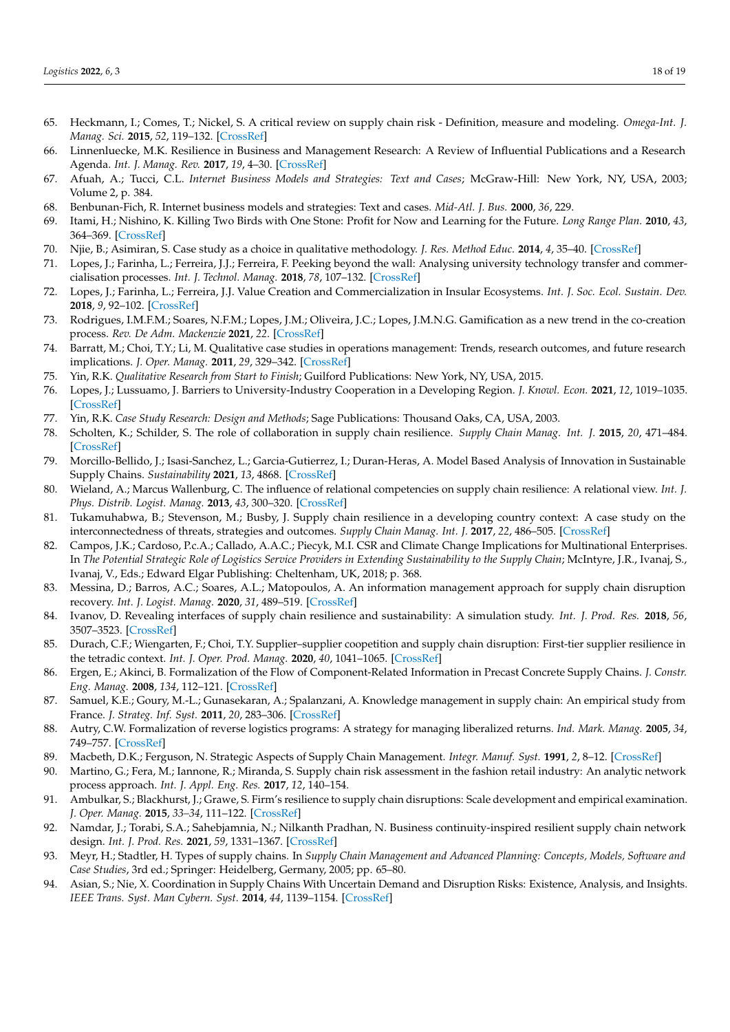- <span id="page-17-0"></span>65. Heckmann, I.; Comes, T.; Nickel, S. A critical review on supply chain risk - Definition, measure and modeling. *Omega-Int. J. Manag. Sci.* **2015**, *52*, 119–132. [\[CrossRef\]](http://doi.org/10.1016/j.omega.2014.10.004)
- <span id="page-17-1"></span>66. Linnenluecke, M.K. Resilience in Business and Management Research: A Review of Influential Publications and a Research Agenda. *Int. J. Manag. Rev.* **2017**, *19*, 4–30. [\[CrossRef\]](http://doi.org/10.1111/ijmr.12076)
- <span id="page-17-2"></span>67. Afuah, A.; Tucci, C.L. *Internet Business Models and Strategies: Text and Cases*; McGraw-Hill: New York, NY, USA, 2003; Volume 2, p. 384.
- <span id="page-17-3"></span>68. Benbunan-Fich, R. Internet business models and strategies: Text and cases. *Mid-Atl. J. Bus.* **2000**, *36*, 229.
- <span id="page-17-4"></span>69. Itami, H.; Nishino, K. Killing Two Birds with One Stone: Profit for Now and Learning for the Future. *Long Range Plan.* **2010**, *43*, 364–369. [\[CrossRef\]](http://doi.org/10.1016/j.lrp.2009.07.007)
- <span id="page-17-5"></span>70. Njie, B.; Asimiran, S. Case study as a choice in qualitative methodology. *J. Res. Method Educ.* **2014**, *4*, 35–40. [\[CrossRef\]](http://doi.org/10.9790/7388-04313540)
- 71. Lopes, J.; Farinha, L.; Ferreira, J.J.; Ferreira, F. Peeking beyond the wall: Analysing university technology transfer and commercialisation processes. *Int. J. Technol. Manag.* **2018**, *78*, 107–132. [\[CrossRef\]](http://doi.org/10.1504/IJTM.2018.093936)
- <span id="page-17-9"></span>72. Lopes, J.; Farinha, L.; Ferreira, J.J. Value Creation and Commercialization in Insular Ecosystems. *Int. J. Soc. Ecol. Sustain. Dev.* **2018**, *9*, 92–102. [\[CrossRef\]](http://doi.org/10.4018/IJSESD.2018070107)
- <span id="page-17-6"></span>73. Rodrigues, I.M.F.M.; Soares, N.F.M.; Lopes, J.M.; Oliveira, J.C.; Lopes, J.M.N.G. Gamification as a new trend in the co-creation process. *Rev. De Adm. Mackenzie* **2021**, *22*. [\[CrossRef\]](http://doi.org/10.1590/1678-6971/eramr210132)
- <span id="page-17-7"></span>74. Barratt, M.; Choi, T.Y.; Li, M. Qualitative case studies in operations management: Trends, research outcomes, and future research implications. *J. Oper. Manag.* **2011**, *29*, 329–342. [\[CrossRef\]](http://doi.org/10.1016/j.jom.2010.06.002)
- 75. Yin, R.K. *Qualitative Research from Start to Finish*; Guilford Publications: New York, NY, USA, 2015.
- <span id="page-17-8"></span>76. Lopes, J.; Lussuamo, J. Barriers to University-Industry Cooperation in a Developing Region. *J. Knowl. Econ.* **2021**, *12*, 1019–1035. [\[CrossRef\]](http://doi.org/10.1007/s13132-020-00646-0)
- <span id="page-17-10"></span>77. Yin, R.K. *Case Study Research: Design and Methods*; Sage Publications: Thousand Oaks, CA, USA, 2003.
- <span id="page-17-11"></span>78. Scholten, K.; Schilder, S. The role of collaboration in supply chain resilience. *Supply Chain Manag. Int. J.* **2015**, *20*, 471–484. [\[CrossRef\]](http://doi.org/10.1108/SCM-11-2014-0386)
- <span id="page-17-12"></span>79. Morcillo-Bellido, J.; Isasi-Sanchez, L.; Garcia-Gutierrez, I.; Duran-Heras, A. Model Based Analysis of Innovation in Sustainable Supply Chains. *Sustainability* **2021**, *13*, 4868. [\[CrossRef\]](http://doi.org/10.3390/su13094868)
- <span id="page-17-13"></span>80. Wieland, A.; Marcus Wallenburg, C. The influence of relational competencies on supply chain resilience: A relational view. *Int. J. Phys. Distrib. Logist. Manag.* **2013**, *43*, 300–320. [\[CrossRef\]](http://doi.org/10.1108/IJPDLM-08-2012-0243)
- <span id="page-17-14"></span>81. Tukamuhabwa, B.; Stevenson, M.; Busby, J. Supply chain resilience in a developing country context: A case study on the interconnectedness of threats, strategies and outcomes. *Supply Chain Manag. Int. J.* **2017**, *22*, 486–505. [\[CrossRef\]](http://doi.org/10.1108/SCM-02-2017-0059)
- <span id="page-17-15"></span>82. Campos, J.K.; Cardoso, P.c.A.; Callado, A.A.C.; Piecyk, M.I. CSR and Climate Change Implications for Multinational Enterprises. In *The Potential Strategic Role of Logistics Service Providers in Extending Sustainability to the Supply Chain; McIntyre, J.R., Ivanaj, S.,* Ivanaj, V., Eds.; Edward Elgar Publishing: Cheltenham, UK, 2018; p. 368.
- <span id="page-17-16"></span>83. Messina, D.; Barros, A.C.; Soares, A.L.; Matopoulos, A. An information management approach for supply chain disruption recovery. *Int. J. Logist. Manag.* **2020**, *31*, 489–519. [\[CrossRef\]](http://doi.org/10.1108/IJLM-11-2018-0294)
- <span id="page-17-17"></span>84. Ivanov, D. Revealing interfaces of supply chain resilience and sustainability: A simulation study. *Int. J. Prod. Res.* **2018**, *56*, 3507–3523. [\[CrossRef\]](http://doi.org/10.1080/00207543.2017.1343507)
- <span id="page-17-18"></span>85. Durach, C.F.; Wiengarten, F.; Choi, T.Y. Supplier–supplier coopetition and supply chain disruption: First-tier supplier resilience in the tetradic context. *Int. J. Oper. Prod. Manag.* **2020**, *40*, 1041–1065. [\[CrossRef\]](http://doi.org/10.1108/IJOPM-03-2019-0224)
- <span id="page-17-19"></span>86. Ergen, E.; Akinci, B. Formalization of the Flow of Component-Related Information in Precast Concrete Supply Chains. *J. Constr. Eng. Manag.* **2008**, *134*, 112–121. [\[CrossRef\]](http://doi.org/10.1061/(ASCE)0733-9364(2008)134:2(112))
- 87. Samuel, K.E.; Goury, M.-L.; Gunasekaran, A.; Spalanzani, A. Knowledge management in supply chain: An empirical study from France. *J. Strateg. Inf. Syst.* **2011**, *20*, 283–306. [\[CrossRef\]](http://doi.org/10.1016/j.jsis.2010.11.001)
- <span id="page-17-20"></span>88. Autry, C.W. Formalization of reverse logistics programs: A strategy for managing liberalized returns. *Ind. Mark. Manag.* **2005**, *34*, 749–757. [\[CrossRef\]](http://doi.org/10.1016/j.indmarman.2004.12.005)
- <span id="page-17-21"></span>89. Macbeth, D.K.; Ferguson, N. Strategic Aspects of Supply Chain Management. *Integr. Manuf. Syst.* **1991**, *2*, 8–12. [\[CrossRef\]](http://doi.org/10.1108/09576069110002699)
- <span id="page-17-22"></span>90. Martino, G.; Fera, M.; Iannone, R.; Miranda, S. Supply chain risk assessment in the fashion retail industry: An analytic network process approach. *Int. J. Appl. Eng. Res.* **2017**, *12*, 140–154.
- <span id="page-17-23"></span>91. Ambulkar, S.; Blackhurst, J.; Grawe, S. Firm's resilience to supply chain disruptions: Scale development and empirical examination. *J. Oper. Manag.* **2015**, *33–34*, 111–122. [\[CrossRef\]](http://doi.org/10.1016/j.jom.2014.11.002)
- <span id="page-17-24"></span>92. Namdar, J.; Torabi, S.A.; Sahebjamnia, N.; Nilkanth Pradhan, N. Business continuity-inspired resilient supply chain network design. *Int. J. Prod. Res.* **2021**, *59*, 1331–1367. [\[CrossRef\]](http://doi.org/10.1080/00207543.2020.1798033)
- <span id="page-17-25"></span>93. Meyr, H.; Stadtler, H. Types of supply chains. In *Supply Chain Management and Advanced Planning: Concepts, Models, Software and Case Studies*, 3rd ed.; Springer: Heidelberg, Germany, 2005; pp. 65–80.
- <span id="page-17-26"></span>94. Asian, S.; Nie, X. Coordination in Supply Chains With Uncertain Demand and Disruption Risks: Existence, Analysis, and Insights. *IEEE Trans. Syst. Man Cybern. Syst.* **2014**, *44*, 1139–1154. [\[CrossRef\]](http://doi.org/10.1109/TSMC.2014.2313121)